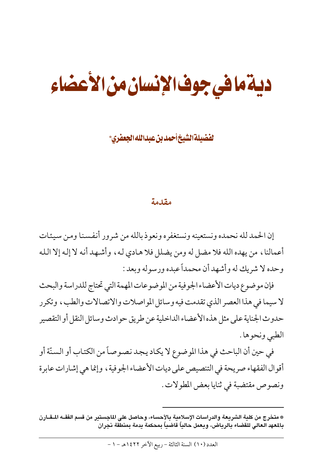# ديةمافي جوف الإنسان من الأعضاء

لفضيلةالشيخ أحمدبن عبدالله الجعفرى\*

#### مقدمة

إن الحمد لله نحمده ونستعينه ونستغفره ونعوذ بالله من شرور أنفسنا ومن سيئات أعمالنا، من يهده الله فلا مضل له ومن يضلل فلا هـادي لـه، وأشـهـد أنـه لا إلـه إلا الـلـه وحده لا شريك له وأشهد أن محمداً عبده ورسوله وبعد :

فإن موضوع ديات الأعضاء الجوفية من الموضوعات المهمة التي تحتاج للدراسة والبحث لا سيما في هذا العصر الذي تقدمت فيه وسائل المواصلات والاتصالات والطب، وتكرر حدوث الجناية على مثل هذه الأعضاء الداخلية عن طريق حوادث وسائل النقل أو التقصير الطبي ونحوها .

في حين أن الباحث في هذا الموضوع لا يكاد يجد نصوصاً من الكتاب أو السنّة أو أقوال الفقهاء صريحة في التنصيص على ديات الأعضاء الجوفية ، وإنما هي إشارات عابرة ونصوص مقتضبة في ثنايا بعض المطولات .

<sup>\*</sup> متخرج من كلية الشريعة والدراسات الإسلامية بالأحساء، وحاصل على الماجستير من قسم الفقــه الــقــارن بالمعهد العالى للقضاء بالرياض، ويعمل حالياً قاضياً بمحكمة يدمة بمنطقة نجران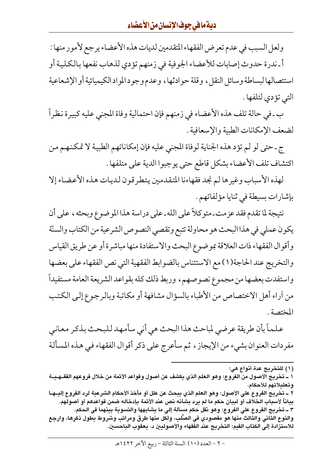ولعل السبب في عدم تعرض الفقهاء المتقدمين لديات هذه الأعضاء يرجع لأمور منها : أ ـندرة حدوث إصابات للأعضاء الجوفية في زمنهم تؤدي لذهاب نفعها بالكلية أو استئصالها لبساطة وسائل النقل، وقلة حوادثها، وعدم وجود المواد الكيميائية أو الإشعاعية التى تؤدي لتلفها .

ب ـ في حالة تلف هذه الأعضاء في زمنهم فإن احتمالية وفاة المجنى عليه كبيرة نظراً لضعف الإمكانات الطبية والإسعافية .

ج ـ حتى لو لم تؤد هذه الجناية لوفاة المجنى عليه فإن إمكاناتهم الطبية لا تمكنهم من اكتشاف تلف الأعضاء بشكل قاطع حتى يوجبوا الدية على متلفها .

لهذه الأسباب وغيرها لم نجد فقهاءنا المتقدمين يتطرقون لديات هذه الأعضاء إلا بإشارات بسيطة في ثنايا مؤلفاتهم .

نتيجة لما تقدم فقد عزمت ـ متوكلاً على الله ـ على دراسة هذا الموضوع وبحثه ، على أن يكون عملي في هذا البحث هو محاولة تتبع وتقصي النصوص الشرعية من الكتاب والسنّة وأقوال الفقهاء ذات العلاقة بموضوع البحث والاستفادة منها مباشرة أو عن طريق القياس والتخريج عند الحاجة(١) مع الاستئناس بالضوابط الفقهية التي نص الفقهاء على بعضها واستفدت بعضها من مجموع نصوصهم، وربط ذلك كله بقواعد الشريعة العامة مستفيداً من أراء أهل الاختصاص من الأطباء بالسؤال مشافهة أو مكاتبة وبالرجوع إلىي الكتب المختصة .

علماً بأن طريقة عرضي لمباحث هذا البحث هي أني سأمهد للبحث بذكر معاني مفردات العنوان بشيء من الإيجاز ، ثم سأعرج على ذكر أقوال الفقهاء في هذه المسألة

<sup>(</sup>١) للتخريج عدة أنواع هي: ١ ــ تخريج الأصول من الفروع: وهو العلم الذي يكشف عن أصول وقواعد الأئمة من خلال فروعهم الفقــهـيــة وتعليلاتهم للأحكام. ٢ ـ تخريج الفروع على الأصول: وهو العلم الذي يبحث عن علل أو مآخذ الأحكام الشرعية لرد الفروع إليـ هـا بياناً لأسباب الخلاف أو لبيان حكم ما لم يرد بشأنه نص عند الأئمة بإدخاله ضمن قواعدهم أو أصولهم. ٣ ــ تخريج الفروع على الفروع: وهو نقل حكم مسألة إلى ما يشابهها والتسوية بينهما في الحكم. والنوع الثاني والثالث منها هو مقصودي في الصُّلب، ولكل منها طرق ومراتب وشروط يطول ذكرها، وارجع للاستزادة إلى الكتاب القيم: التخريج عند الفقهاء والأصوليين د. يعقوب الباحسين.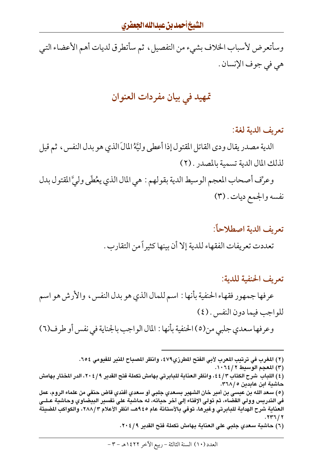وسأتعرض لأسباب الخلاف بشيء من التفصيل، ثم سأتطرق لديات أهم الأعضاء التي هي في جوف الإنسان .

# تمهيد في بيان مفردات العنوان

#### تعريف الدية لغة:

الدية مصدر يقال ودي القاتل المقتول إذا أعطى وليَّةُ المالَ الذي هو بدل النفس ، ثم قيل لذلك المال الدية تسمية بالمصدر . (٢)

وعرِّف أصحاب المعجم الوسيط الدية بقولهم : هي المال الذي يعُطَى وليَّ المقتول بدل نفسه والجمع ديات . (٣)

> تعريف الدية اصطلاحاً: تعددت تعريفات الفقهاء للدية إلا أن بينها كثيراً من التقارب .

#### تعريف الحنفية للدية:

عرفها جمهور فقهاء الحنفية بأنها : اسم للمال الذي هو بدل النفس ، والأرش هو اسم للواجب فيما دون النفس . (٤)

وعرفها سعدي جلبي من(٥)الحنفية بأنها : المال الواجب بالجناية في نفس أو طرف(٦)

(٢) المغرب في ترتيب المعرب لأبي الفتح المطرزي٧٩، وانظر المصباح المنير للفيومي ٢٥٤.

(٣) المعجم الوسيط ١٠٦٤/٢.

(٥) سعد الله بن عيسى بن أمير خان الشهير بسعدي جلبي أو سعدي أفندي قاض حنفي من علماء الروم، عمل في التدريس وولي القضاء، ثم تولي الإفتاء إلى آخر حياته، له حاشية على تفسير البيضاوي وحاشية عـلــي العناية شرح الهداية للبابرتي وغيرها، توفي بالأستانة عام ٩٤٥هـ، انظر الأعلام ٢٨٨/٣، والكواكب المضيئة  $.747/7$ 

(٦) حاشية سعدي جلبي على العناية بهامش تكملة فتح القدير ٢٠٤/٩.

<sup>(</sup>٤) اللباب شرح الكتاب ٤٤/٣، وانظر العناية للبابرتي بهامش تكملة فتح القدير ٢٠٤/٩، الدر المختار بهامش حاشية ابن عابدين ٥ /٣٦٨.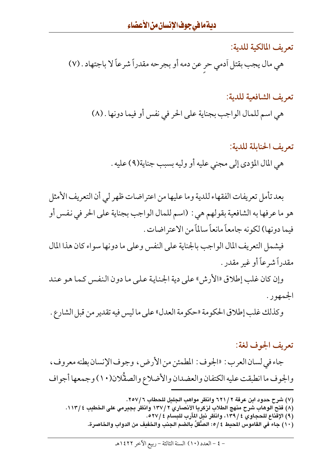تعريف المالكية للدية:

هي مال يجب بقتل أدمي حر عن دمه أو بجرحه مقدراً شرعاً لا باجتهاد . (٧)

تعريف الشافعية للدية: هي اسم للمال الواجب بجناية على الحر في نفس أو فيما دونها . (٨)

تعريف الحنابلة للدية: هي المال المؤدي إلى مجنى عليه أو وليه بسبب جناية(٩) عليه .

بعد تأمل تعريفات الفقهاء للدية وما عليها من اعتراضات ظهر لي أن التعريف الأمثل هو ما عرفها به الشافعية بقولهم هي : (اسم للمال الواجب بجناية على الحر في نفس أو فيما دونها) لكونه جامعاً مانعاً سالماً من الاعتر اضات .

فيشمل التعريف المال الواجب بالجناية على النفس وعلى ما دونها سواء كان هذا المال مقدراً شرعاً أو غير مقدر .

وإن كان غلب إطلاق «الأرش» على دية الجناية على ما دون النفس كما هو عند الجمهور .

وكذلك غلب إطلاق الحكومة «حكومة العدل» على ما ليس فيه تقدير من قبل الشارع .

#### تعريف الجوف لغة:

جاء في لسان العرب : «الجوف : المطمئن من الأرض ، وجوف الإنسان بطنه معروف ، والجوف ما انطبقت عليه الكتفان والعضدان والأضلاع والصقُّلان(١٠) وجمعها أجواف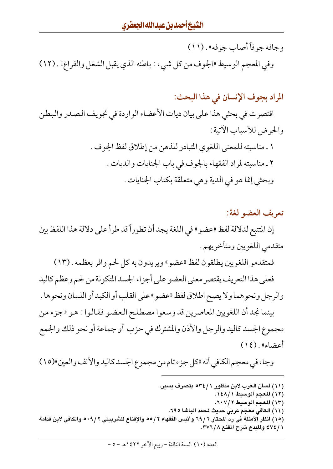وجافه جو فاً أصاب جو فه» . (١١) وفي المعجم الوسيط «الجوف من كل شيء : باطنه الذي يقبل الشغل والفراغ» . (١٢)

المراد بجوف الإنسان في هذا البحث:

اقتصرت في بحثي هذا على بيان ديات الأعضاء الواردة في تجويف الصدر والبطن والحوض للأسباب الأتية :

> ١ ـ مناسبته للمعنى اللغوي المتبادر للذهن من إطلاق لفظ الجوف . ٢ ـ مناسبته لمراد الفقهاء بالجوف في باب الجنايات والديات . وبحثى إنما هو في الدية وهي متعلقة بكتاب الجنايات .

> > تعريف العضو لغة:

إن المتتبع لدلالة لفظ «عضو» في اللغة يجد أن تطوراً قد طراً على دلالة هذا اللفظ بين متقدمي اللغويين ومتأخريهم .

فمتقدمو اللغويين يطلقون لفظ «عضو» ويريدون به كل لحم وافر بعظمه . (١٣)

فعلى هذا التعريف يقتصر معنى العضو على أجزاء الجسد المتكونة من لحم وعظم كاليد والرجل ونحوهما ولا يصح اطلاق لفظ «عضو» على القلب أو الكبد أو اللسان ونحوها . بينما نجد أن اللغويين المعاصرين قد وسعوا مصطلح العضو فقالوا : هو «جزء من مجموع الجسد كاليد والرجل والأذن والمشترك في حزب أو جماعة أو نحو ذلك والجمع أعضاء» . (١٤)

وجاء في معجم الكافي أنه «كل جزء تام من مجموع الجسد كاليد والأنف والعين»(١٥)

(١١) لسان العرب لابن منظور ٢٤/١ م بتصرف يسير. (١٢) المعجم الوسيط ١٤٨/١. (١٣) المعجم الوسيط ٢٠٧/٢. (١٤) الكافي معجم عربي حديث لمحمد الباشا ٦٩٥. (١٥) انظر الأمثلة في رد المحتار ٦٩/٦ وأنيس الفقهاء ٢ /٥٥ والإقناع للشربيني ٥٠٩/٢ والكافي لابن قدامة ٤٧٤/١ والمدع شرح المقنع ٣٧٦/٨.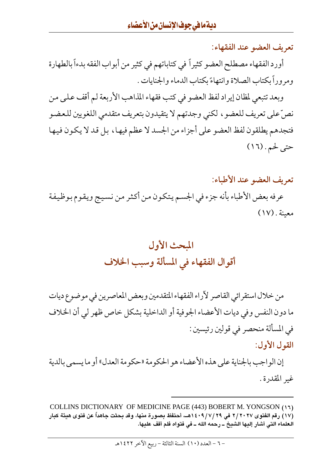تعريف العضو عند الفقهاء:

أورد الفقهاء مصطلح العضو كثيراً في كتاباتهم في كثير من أبواب الفقه بدءاً بالطهارة ومروراً بكتاب الصلاة وانتهاءً بكتاب الدماء والجنايات .

وبعد تتبعى لمظان إيراد لفظ العضو في كتب فقهاء المذاهب الأربعة لم أقف على من نصِّ على تعريف للعضو ، لكني وجدتهم لا يتقيدون بتعريف متقدمي اللغويين للعضو فتجدهم يطلقون لفظ العضو على أجزاء من الجسد لا عظم فيها ، بل قد لا يكون فيها حتى لحم. (١٦)

تعريف العضو عند الأطباء:

عرفه بعض الأطباء بأنه جزء في الجسم يتكون من أكثر من نسيج ويقوم بوظيفة معىنة . (١٧)

# المحث الأول أقوال الفقهاء في المسألة وسبب الخلاف

من خلال استقرائي القاصر لأراء الفقهاء المتقدمين وبعض المعاصرين في موضوع ديات ما دون النفس وفي ديات الأعضاء الجوفية أو الداخلية بشكل خاص ظهر لي أن الخلاف في المسألة منحصر في قولين رئيسين : القول الأول:

إن الو اجب بالجناية على هذه الأعضاء هو الحكومة «حكومة العدل» أو ما يسمى بالدية غير المقدرة.

COLLINS DICTIONARY OF MEDICINE PAGE (443) BOBERT M. YONGSON (15) (١٧) رقم الفتوى ٢/ ٢٠٢٧ في ٢/ ٧/ ٩١٤٠٩هــ، أحتفظ بصورة منها، وقد بحثت جاهداً عن فتوى هيئة كبار العلماء التي أشار إليها الشيخ ــ رحمه الله ــ في فتواه فلم أقف عليها.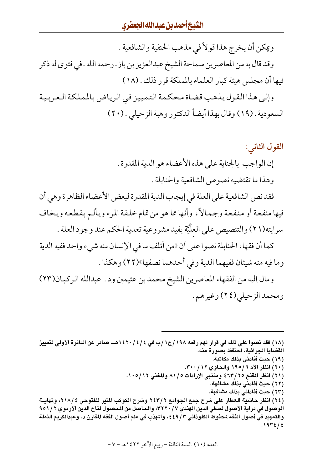ويمكن أن يخرج هذا قولاً في مذهب الحنفية والشافعية . وقد قال به من المعاصرين سماحة الشيخ عبدالعزيز بن باز ـ رحمه الله ـ في فتوى له ذكر فيها أن مجلس هيئة كبار العلماء بالمملكة قرر ذلك . (١٨)

وإلى هذا القول يذهب قضاة محكمة التمييز في الرياض بالملكة العربية السعودية . (١٩) وقال بهذا أيضاً الدكتور وهبة الزحيلي . (٢٠)

# القول الثاني: إن الواجب بالجناية على هذه الأعضاء هو الدية المقدرة. وهذا ما تقتضيه نصوص الشافعية والحنابلة . فقد نص الشافعية على العلة في إيجاب الدية المقدرة لبعض الأعضاء الظاهرة وهي أن فيها منفعة أو منفعة وجمالاً، وأنها مما هو من تمام خلقة المرء ويألم بقطعه ويخاف سرايته(٢١) والتنصيص على العلِّيَّة يفيد مشر وعية تعدية الحكم عند وجود العلة . كما أن فقهاء الحنابلة نصوا على أن «من أتلف ما في الإنسان منه شيء واحد ففيه الدية وما فيه منه شيئان ففيهما الدية وفي أحدهما نصفها»(٢٢) وهكذا . ومال إليه من الفقهاء المعاصرين الشيخ محمد بن عثيمين ود . عبدالله الركبان(٢٣) ومحمد الزحيلي(٢٤) وغيرهم.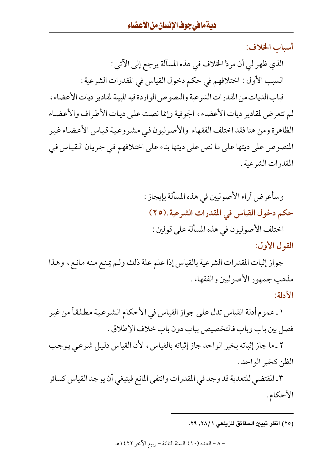أسباب الخلاف: الذي ظهر لي أن مردَّ الخلاف في هذه المسألة يرجع إلى الآتي : السبب الأول : اختلافهم في حكم دخول القياس في المقدرات الشرعية : فباب الديات من المقدرات الشرعية والنصوص الواردة فيه المبينة لمقادير ديات الأعضاء، لم تتعرض لمقادير ديات الأعضاء، الجوفية وإنما نصت على ديات الأطراف والأعضاء الظاهرة ومن هنا فقد اختلف الفقهاء والأصوليون فيي مشروعية قياس الأعضاء غير المنصوص على ديتها على ما نص على ديتها بناء على اختلافهم في جريان القياس في المقدرات الشرعية .

> وسأعرض أراء الأصوليين في هذه المسألة بإيجاز : حكم دخول القياس في المقدرات الشرعية.(٢٥) اختلف الأصوليون في هذه المسألة على قولين : القول الأول:

جواز إثبات المقدرات الشرعية بالقياس إذا علم علة ذلك ولم يمنع منه مانع، وهذا مذهب جمهور الأصوليين والفقهاء . الأدلة:

١ ـ عموم أدلة القياس تدل على جواز القياس في الأحكام الشرعية مطلقاً من غير فصل بين باب وباب فالتخصيص بباب دون باب خلاف الإطلاق .

٢ ـ ما جاز إثباته بخبر الواحد جاز إثباته بالقياس، لأن القياس دليل شرعي يوجب الظن كخبر الواحد.

٣ ـ المقتضى للتعدية قد وجد في المقدرات وانتفى المانع فينبغي أن يوجد القياس كسائر الأحكام.

(٢٥) انظر تبيين الحقائق للزيلعي ٢٨/١. ٢٩.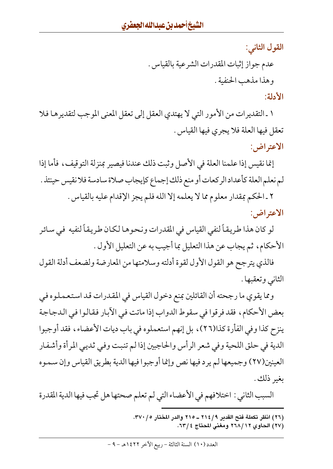القول الثاني:

عدم جواز إثبات المقدرات الشرعية بالقياس .

وهذا مذهب الحنفية .

الأدلة:

١ ـ التقديرات من الأمور التي لا يهتدي العقل إلى تعقل المعنى الموجب لتقديرها فلا تعقل فيها العلة فلا يجرى فيها القياس .

الاعتراض:

إنما نقيس إذا علمنا العلة في الأصل وثبت ذلك عندنا فيصير بمنزلة التوقيف، فأما إذا لم نعلم العلة كأعداد الركعات أو منع ذلك إجماع كإيجاب صلاة سادسة فلا نقيس حينئذ .

٢ ـ الحكم بمقدار معلوم مما لا يعلمه إلا الله فلم يجز الإقدام عليه بالقياس . الاعتراض:

لو كان هذا طريقاً لنفي القياس في المقدرات ونحوها لكان طريقاً لنفيه في سائر الأحكام، ثم يجاب عن هذا التعليل بما أجيب به عن التعليل الأول .

فالذي يترجح هو القول الأول لقوة أدلته وسلامتها من المعارضة ولضعف أدلة القول الثاني وتعقبها .

ومما يقوى ما رجحته أن القائلين بمنع دخول القياس في المقدرات قد استعملوه في بعض الأحكام، فقد فرقوا في سقوط الدواب إذا ماتت في الأبار فقالوا في الدجاجة ينزح كذا وفي الفأرة كذا(٢٦)، بل إنهم استعملوه في باب ديات الأعضاء، فقد أوجبوا الدية في حلق اللحية وفي شعر الرأس والحاجبين إذا لم تنبت وفي ثديبي المرأة وأشفار العينين(٢٧) وجميعها لم يرد فيها نص وإنما أوجبوا فيها الدية بطريق القياس وإن سموه ىغىر ذلك .

السبب الثاني : اختلافهم في الأعضاء التي لم تعلم صحتها هل تجب فيها الدية المقدرة

- (٢٦) انظر تكملة فتح القدير ٢١٤/٩ ـ ٢١٥ والدر المختار ٣٧٠/٥.
	- (٢٧) الحاوي ٢٦٨/١٢ ومغنى المحتاج ٢٣/٤.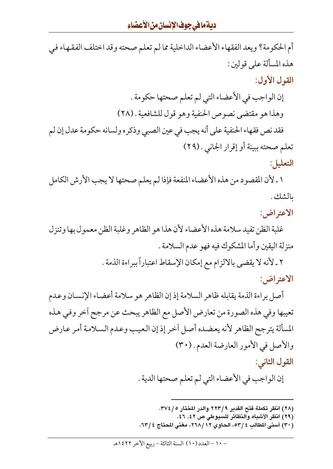# ديةمافي جوف الإنسان من الأعضاء

أم الحكومة؟ ويعد الفقهاء الأعضاء الداخلية مما لم تعلم صحته وقد اختلف الفقهاء في هذه المسألة على قولين : القول الأول: إن الواجب في الأعضاء التي لم تعلم صحتها حكومة . وهذا هو مقتضى نصوص الحنفية وهو قول للشافعية . (٢٨) فقد نص فقهاء الحنفية على أنه يجب في عين الصبي وذكره ولسانه حكومة عدل إن لم تعلم صحته ببينة أو إقرار الجاني . (٢٩) التعليل:

١ ـ لأن المقصود من هذه الأعضاء المنفعة فإذا لم يعلم صحتها لا يجب الأرش الكامل ىالشك .

الاعتراض:

غلبة الظن تفيد سلامة هذه الأعضاء لأن هذا هو الظاهر وغلبة الظن معمول بها وتنزل منزلة اليقين وأما المشكوك فيه فهو عدم السلامة .

> ٢ ـ لأنه لا يقضي بالالزام مع إمكان الإسقاط اعتباراً ببراءة الذمة . الاعتراض:

أصل براءة الذمة يقابله ظاهر السلامة إذ إن الظاهر هو سلامة أعضاء الإنسان وعدم تعيبها وفي هذه الصورة من تعارض الأصل مع الظاهر يبحث عن مرجح أخر وفي هذه المسألة يترجح الظاهر لأنه يعضده أصل آخر إذ إن العيب وعدم السلامة أمر عارض والأصل في الأمور العارضة العدم . (٣٠)

القول الثاني:

إن الواجب في الأعضاء التي لم تعلم صحتها الدية .

- (٢٨) انظر تكملة فتح القدير ٢ / ٢٢٣ والدر المختار ٣٧٤/٥.
	- (٢٩) انظر الأشباه والنظائر للسبوطي ص ٤٢, ٤٦.
- (٣٠) أسنى المطالب ٤ /٥٣، الحاوي ٢٦٨/١٢، مغنى المحتاج ٤ /٦٣.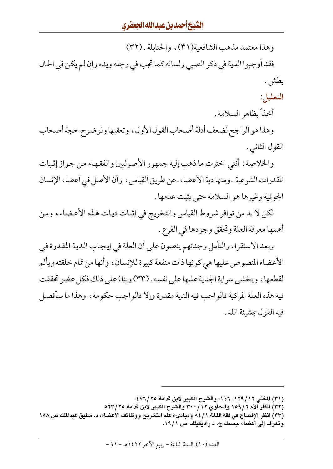وهذا معتمد مذهب الشافعية(٣١)، والحنابلة . (٣٢)

فقد أوجبوا الدية في ذكر الصبي ولسانه كما تجب في رجله ويده وإن لم يكن في الحال بطش .

التعليل:

أخذاً بظاهر السلامة .

وهذا هو الراجح لضعف أدلة أصحاب القول الأول، وتعقبها ولوضوح حجة أصحاب القول الثاني .

والخلاصة : أنني اخترت ما ذهب إليه جمهور الأصوليين والفقهاء من جواز إثبات المقدرات الشرعية ـ ومنها دية الأعضاء ـ عن طريق القياس ، وأن الأصل في أعضاء الإنسان الجوفية وغيرها هو السلامة حتى يثبت عدمها .

لكن لا بد من توافر شروط القياس والتخريج في إثبات ديات هذه الأعضاء، ومن أهمها معرفة العلة وتحقق وجودها في الفرع .

وبعد الاستقراء والتأمل وجدتهم ينصون على أن العلة في إيجاب الدية المقدرة في الأعضاء المنصوص عليها هي كونها ذات منفعة كبيرة للإنسان ، وأنها من تمام خلقته ويألم لقطعها، ويخشى سراية الجناية عليها على نفسه . (٣٣) وبناءً على ذلك فكل عضو تحققت فيه هذه العلة المركبة فالواجب فيه الدية مقدرة وإلا فالواجب حكومة ، وهذا ما سأفصل فيه القول بمشيئة الله .

(٣٢) انظر الأم ١٥٩/٦ والحاوي ٣٠٠/١٢ والشرح الكبير لابن قدامة ٢٥/٣٢٥.

(٣٣) انظر الإفصاح في فقه اللغة ١ / ٨٤ ومبادىء علم التشريح ووظائف الأعضاء، د. شفيق عبدالملك ص ١٥٨ وتعرف إلى أعضاء جسمك ج. د راديكيلف ص ١٩/١.

<sup>(</sup>٣١) المغنى ١٢٩/١٢, ١٤٦، والشرح الكبير لابن قدامة ٢٥/٦/٢٥.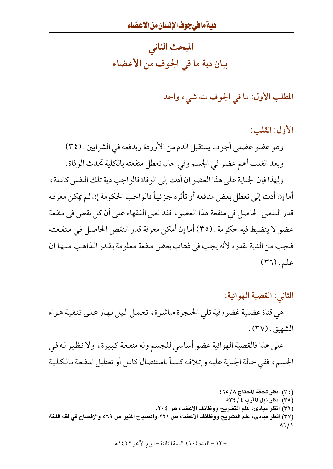المبحث الثاني بيان دية ما في الجوف من الأعضاء

المطلب الأول: ما في الجوف منه شيء واحد

الأول: القلب:

وهو عضو عضلي أجوف يستقبل الدم من الأوردة ويدفعه في الشرايين . (٣٤) ويعد القلب أهم عضو في الجسم وفي حال تعطل منفعته بالكلية تحدث الوفاة .

ولهذا فإن الجناية على هذا العضو إن أدت إلى الوفاة فالواجب دية تلك النفس كاملة ، أما إن أدت إلى تعطل بعض منافعه أو تأثره جزئياً فالواجب الحكومة إن لم يمكن معرفة قدر النقص الحاصل في منفعة هذا العضو ، فقد نص الفقهاء على أن كل نقص في منفعة عضو لا ينضبط فيه حكومة . (٣٥) أما إن أمكن معرفة قدر النقص الحاصل في منفعته فيجب من الدية بقدره لأنه يجب في ذهاب بعض منفعة معلومة بقدر الذاهب منها إن علم. (٣٦)

الثاني: القصبة الهوائية:

هي قناة عضلية غضروفية تلي الحنجرة مباشرة، تعمل ليل نهار علىي تنقية هواء الشهيق . (٣٧) .

على هذا فالقصبة الهوائية عضو أساسي للجسم وله منفعة كبيرة، ولا نظير له في الجسم، ففي حالة الجناية عليه وإتلافه كلياً باستئصال كامل أو تعطيل المنفعة بالكلية

- (٣٤) انظر تحفة المحتاج ٢١٥/٨.
	- (٣٥) انظر نيل المآرب ٤ / ٥٣٤.
- (٣٦) انظر مبادىء علم التشريح ووظائف الأعضاء ص ٢٠٤.

(٣٧) انظر مبادىء علم التشريح ووظائف الأعضاء ص ٢٢١ والمصباح المنير ص ٥٦٩ والإفصاح في فقه اللغة  $. \lambda$ ٦/١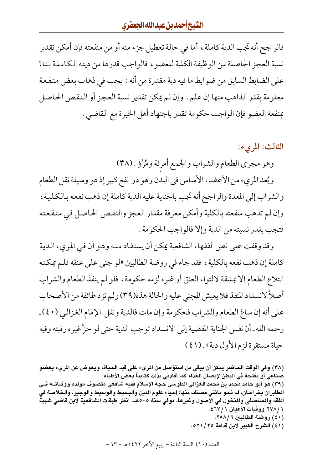فالراجح أنه تجب الدية كاملة ، أما في حالة تعطيل جزء منه أو من منفعته فإن أمكن تقدير نسبة العجز الحاصلة من الوظيفة الكلية للعضو ، فالواجب قدرها من ديته الكاملة بناءً على الضابط السابق من ضوابط ما فيه دية مقدرة من أنه : يجب في ذهاب بعض منفعة معلومة بقدر الذاهب منها إن علم . وإن لم يمكن تقدير نسبة العجز أو النقص الحاصل بمنفعة العضو فإن الواجب حكومة تقدر باجتهاد أهل الخبرة مع القاضي .

### الثالث: المريء:

وهو مجرى الطعام والشراب والجمع أمرئة ومُرُؤ . (٣٨)

ويُعد المريء من الأعضاء الأساس في البدن وهو ذو نفع كبير إذ هو وسيلة نقل الطعام والشراب إلى المعدة والراجح أنه تجب بالجناية عليه الدية كاملة إن ذهب نفعه بالكلية ، وإن لم تذهب منفعته بالكلية وأمكن معرفة مقدار العجز والنقص الحاصل في منفعته فتجب بقدر نسبته من الدية وإلا فالواجب الحكومة .

وقد وقفت على نص لفقهاء الشافعية يمكن أن يستفاد منه وهو أن في المريء الدية كاملة إن ذهب نفعه بالكلية ، فقد جاء في روضة الطالبين «لو جنى على عنقه فلم يمكنه ابتلاع الطعام إلا بمشقة لالتواء العنق أو غيره لزمه حكومة ، فلو لم ينفذ الطعام والشراب أصلاً لانسداد المنفذ فلا يعيش المجنى عليه والحالة هذه(٣٩) ولم تزد طائفة من الأصحاب على أنه إن ساغ الطعام والشراب فحكومة وإن مات فالدية ونقل الإمام الغزالي (٤٠) ـ رحمه الله ـ أن نفس الجناية المفضية إلى الانسداد توجب الدية حتى لو حزَّ غير ه رقبته وفيه حياة مستقرة لزم الأول دية» . (٤١)

- (٤٠) روضة الطالبين ٢٥٨/٦.
- (٤١) الشرح الكبير لابن قدامة ٢٥/ ٥٢١.

<sup>(</sup>٣٨) وفي الوقت الحاضر يمكن أن يبقى من استؤصل من المريء على قيد الحياة، ويعوض عن المريء بعضو صناعي أو بفتحة في البطن لإيصال الغذاء كما أفادني بذلك كتابياً بعض الأطباء.

<sup>(</sup>٣٩) هو أبو حامد محمد بن محمد الغزالي الطوسي حجة الإسلام فقيه شافعي متصوف مولده ووفــاتـــه فــي الطابران بخراسان، له نحو مائتي مصنف منها: إحياء علوم الدين والبسيط والوسيط والوجيز، والخلاصة في الفقه والمستصفى والمنخول في الأصول وغيرها، توفي سنة ٥٠٥هـ. انظر طبقات الشافعية لابن قاضى شهبة ١ / ٢٧٨ ووفيات الأعيان ١ / ٤٦٣ ٤.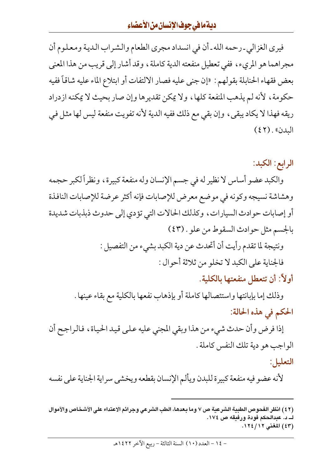# ديةمافي جوف الإنسان من الأعضاء

فيري الغزالي ـ رحمه الله ـ أن في انسداد مجري الطعام والشراب الدية ومعلوم أن مجراهما هو المريء، ففي تعطيل منفعته الدية كاملة، وقد أشار إلى قريب من هذا المعنى بعض فقهاء الحنابلة بقولهم : «إن جنى عليه فصار الالتفات أو ابتلاع الماء عليه شاقاً ففيه حكومة، لأنه لم يذهب المنفعة كلها، ولا يمكن تقديرها وإن صار بحيث لا يمكنه ازدراد ريقه فهذا لا يكاد يبقى، وإن بقى مع ذلك ففيه الدية لأنه تفويت منفعة ليس لها مثل في البدن». (٤٢)

الرابع: الكبد:

والكبد عضو أساس لا نظير له في جسم الإنسان وله منفعة كبيرة، ونظراً لكبر حجمه وهشاشة نسيجه وكونه في موضع معرض للإصابات فإنه أكثر عرضة للإصابات النافذة أو إصابات حوادث السيارات، وكذلك الحالات التي تؤدي إلى حدوث ذبذبات شديدة بالجسم مثل حوادث السقوط من علو . (٤٣) ونتيجة لما تقدم رأيت أن أتحدث عن دية الكبد بشيء من التفصيل : فالجناية على الكبد لا تخلو من ثلاثة أحوال :

أولاً: أن تتعطل منفعتها بالكلية.

وذلك إما بإبانتها واستئصالها كاملة أو بإذهاب نفعها بالكلية مع بقاء عينها . الحكم في هذه الحالة:

إذا فرض وأن حدث شيء من هذا وبقى المجنى عليه علىي قيد الحياة، فالراجح أن الواجب هو دية تلك النفس كاملة . التعليل:

لأنه عضو فيه منفعة كبيرة للبدن ويألم الإنسان بقطعه ويخشى سراية الجناية على نفسه

<sup>(</sup>٤٢) انظر الفحوص الطبية الشرعية ص ٧ وما بعدها، الطب الشرعي وجرائم الاعتداء على الأشخاص والأموال ك د. عبدالحكم فودة ورفيقه ص ١٧٤. (٤٣) المغنى ١٢٤/١٢٤.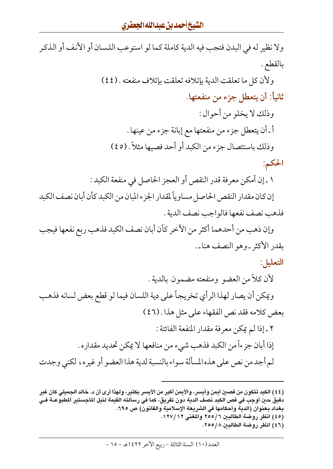ولا نظير له في البدن فتجب فيه الدية كاملة كما لو استوعب اللسان أو الأنف أو الذكر بالقطع .

> ولأن كل ما تعلقت الدية بإتلافه تعلقت بإتلاف منفعته . (٤٤) ثانياً: أن يتعطل جزء من منفعتها.

وذلك لا يخلو من أحوال : أ ـ أن يتعطل جزء من منفعتها مع إبانة جزء من عينها . وذلك باستئصال جزء من الكبد أو أحد فصيها مثلاً . (٤٥)

الحكم:

١ ـ إن أمكن معر فة قدر النقص أو العجز الحاصل في منفعة الكبد :

إن كان مقدار النقص الحاصل مساوياً لمقدار الجزء المبان من الكبد كأن أبان نصف الكبد فذهب نصف نفعها فالواجب نصف الدية .

وإن ذهب من أحدهما أكثر من الآخر كأن أبان نصف الكبد فذهب ربع نفعها فيجب يقدر الأكثر -وهو النصف هنا-.

التعليل:

لأن كلاً من العضو ومنفعته مضمون بالدية .

ويمكن أن يصار لهذا الرأي تخريجاً على دية اللسان فيما لو قطع بعض لسانه فذهب بعض كلامه فقد نص الفقهاء على مثل هذا . (٤٦) ٢ ـ إذا لم يمكن معرفة مقدار المنفعة الفائتة : إذا أبان جزءاً من الكبد فذهب شيء من منافعها لا يمكن تحديد مقداره . لم أجد من نص على هذه المسألة سواء بالنسبة لدية هذا العضو أو غيره، لكني وجدت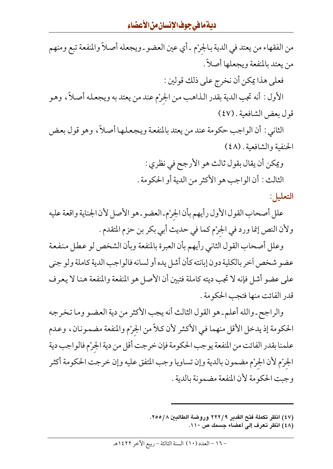# <mark>ديةمافي جوفالإنسان من الأعض</mark>اءِ

من الفقهاء من يعتد في الدية بالجرْم ـ أي عين العضو ـ ويجعله أصلاً والمنفعة تبع ومنهم من يعتد بالمنفعة ويجعلها أصلاً . فعلى هذا يمكن أن نخرج على ذلك قولين : الأول : أنه تجب الدية بقدر الذاهب من الجرْم عند من يعتد به ويجعله أصلاً، وهو قول بعض الشافعية . (٤٧) الثاني : أن الواجب حكومة عند من يعتد بالمنفعة ويجعلها أصلاً، وهو قول بعض الحنفية والشافعية . (٤٨) ويمكن أن يقال بقول ثالث هو الأرجح في نظري : الثالث : أن الواجب هو الأكثر من الدية أو الحكومة . التعليل: علل أصحاب القول الأول رأيهم بأن الجرْم ـ العضو ـ هو الأصل لأن الجناية واقعة عليه

ولأن النص إنما ورد في الجرْم كما في حديث أبي بكر بن حزم المتقدم .

وعلل أصحاب القول الثاني رأيهم بأن العبرة بالمنفعة وبأن الشخص لو عطل منفعة عضو شخص آخر بالكلية دون إبانته كأن أشل يده أو لسانه فالواجب الدية كاملة ولو جنى على عضو أشل فإنه لا تجب ديته كاملة فتبين أن الأصل هو المنفعة والمنفعة هنا لا يعرف قدر الفائت منها فتجب الحكومة .

والراجح ـ والله أعلم ـ هو القول الثالث أنه يجب الأكثر من دية العضو وما تخرجه الحكومة إذ يدخل الأقل منهما في الأكثر لأن كلاً من الجرْم والمنفعة مضمونان، وعدم علمنا بقدر الفائت من المنفعة يوجب الحكومة فإن خرجت أقل من دية الجرْم فالواجب دية الجرْم لأن الجرْم مضمون بالدية وإن تساويا وجب المتفق عليه وإن خرجت الحكومة أكثر وجبت الحكومة لأن المنفعة مضمونة بالدية .

- (٤٧) انظر تكملة فتح القدير ٢٢٢/٩ وروضة الطالبين ٢٥٥/٨.
	- (٤٨) انظر تعرف إلى أعضاء جسمك ص ١١٠.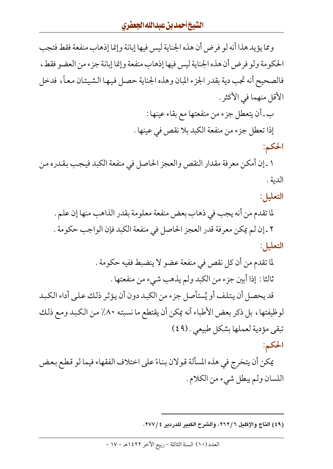ومما يؤيد هذا أنه لو فرض أن هذه الجناية ليس فيها إبانة وإنما إذهاب منفعة فقط فتجب الحكومة ولو فرض أن هذه الجناية ليس فيها إذهاب منفعة وإنما إبانة جزء من العضو فقط، فالصحيح أنه تجب دية بقدر الجزء المبان وهذه الجناية حصل فيها الشيئان معاً، فدخل الأقل منهما في الأكثر .

> ب ـ أن يتعطل جزء من منفعتها مع بقاء عينها : إذا تعطل جزء من منفعة الكبد بلا نقص في عينها .

> > الحكم:

١ ـ إن أمكن معرفة مقدار النقص والعجز الحاصل في منفعة الكبد فيجب بقدره من الدية .

التعليل:

لما تقدم من أنه يجب في ذهاب بعض منفعة معلومة بقدر الذاهب منها إن علم . ٢ ـ إن لم يمكن معرفة قدر العجز الحاصل في منفعة الكبد فإن الواجب حكومة . التعليل:

> لما تقدم من أن كل نقص في منفعة عضو لا ينضبط ففيه حكومة . ثالثا : إذا أبين جزء من الكبد ولم يذهب شيء من منفعتها .

قد يحصل أن يتلف أو يُستأصل جزء من الكبد دون أن يؤثر ذلك على أداء الكبد لوظيفتها، بل ذكر بعض الأطباء أنه يمكن أن يقتطع ما نسبته ٨٠٪ من الكبد ومع ذلك تبقى مؤدية لعملها بشكل طبيعي . (٤٩)

الحكم:

يمكن أن يتخرج في هذه المسألة قولان بناءً على اختلاف الفقهاء فيما لو قطع بعض اللسان ولم يبطل شيء من الكلام .

<sup>(</sup>٤٩) التاج والإكليل ٢٦٢/٦، والشرح الكبير للدردير ٢٧٧/٤.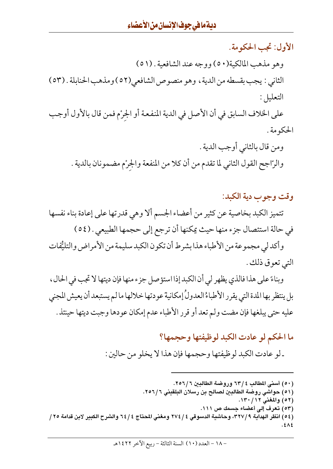الأول: تجب الحكومة. وهو مذهب المالكية(٥٠) ووجه عند الشافعية . (٥١) الثاني : يجب بقسطه من الدية ، وهو منصوص الشافعي(٥٢) ومذهب الحنابلة . (٥٣) التعليل: على الخلاف السابق في أن الأصل في الدية المنفعة أو الجرْم فمن قال بالأول أوجب الحكومة .

ومن قال بالثاني أوجب الدية . والرّاجح القول الثاني لما تقدم من أن كلا من المنفعة والجرْم مضمونان بالدية .

وقت وجوب دية الكبد: تتميز الكبد بخاصية عن كثير من أعضاء الجسم ألا وهي قدرتها على إعادة بناء نفسها في حالة استئصال جزء منها حيث يمكنها أن ترجع إلى حجمها الطبيعي . (٥٤) وأكدلي مجموعة من الأطباء هذا بشرط أن تكون الكبد سليمة من الأمراض والتليُّفات التي تعوق ذلك .

وبناءً على هذا فالذي يظهر لي أن الكبد إذا استؤصل جزء منها فإن ديتها لا تجب في الحال ، بل ينتظر بها المدة التي يقرر الأطباءُ العدولُ إمكانية عودتها خلالها ما لم يستبعد أن يعيش المجني عليه حتى يبلغها فإن مضت ولم تعد أو قرر الأطباء عدم إمكان عودها وجبت ديتها حينئذ .

ما الحكم لو عادت الكبد لوظيفتها وحجمها؟

ـ لو عادت الكبد لوظيفتها وحجمها فإن هذا لا يخلو من حالين :

- (٥١) حواشي روضة الطالبين لصالح بن رسلان البلقيني ٢٥٦/٦.
	- (٥٢) والمغنى ١٣٠/١٣٠.
	- (٥٣) تعرف إلى أعضاء جسمك ص ١١١.

(٥٤) انظر الهداية ٣٢٧/٩، وحاشية الدسوقي ٤ / ٢٧٤ ومغني المحتاج ٤ / ٦٤ والشرح الكبير لابن قدامة ٢٥ /  $5\lambda$ 

<sup>(</sup>٥٠) أسنى المطالب ٤ /٦٣ وروضة الطالبين ٢ /٢٥٦.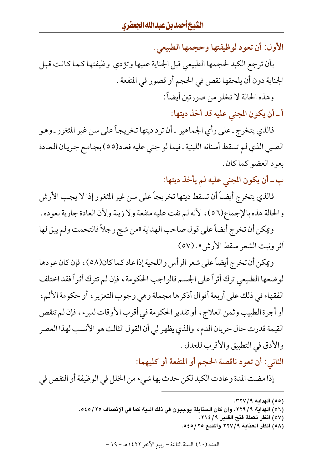الأول: أن تعود لوظيفتها وحجمها الطبيعي.

بأن ترجع الكبد لحجمها الطبيعي قبل الجناية عليها وتؤدي وظيفتها كما كانت قبل الجناية دون أن يلحقها نقص في الحجم أو قصور في المنفعة . وهذه الحالة لا تخلو من صورتين أيضاً :

أ ـ أن يكون المجنى عليه قد أخذ ديتها:

فالذي يتخرج ـ على رأى الجماهير ـ أن ترد ديتها تخريجاً على سن غير المثغور ـ وهو الصبي الذي لم تسقط أسنانه اللبنية ـ فيما لو جني عليه فعاد(٥٥) بجامع جريان العادة بعود العضو كما كان .

ب ــ أن يكون المجنى عليه لم يأخذ ديتها:

فالذي يتخرج أيضاً أن تسقط ديتها تخريجاً على سن غير المثغور إذا لا يجب الأرش والحالة هذه بالإجماع(٥٦)، لأنه لم تفت عليه منفعة ولا زينة ولأن العادة جارية بعوده .

ويمكن أن تخرج أيضاً على قول صاحب الهداية «من شج رجلاً فالتحمت ولم يبق لها أثر ونبت الشعر سقط الأرش» . (٥٧)

ويمكن أن تخرج أيضاً على شعر الرأس واللحية إذا عاد كما كان(٥٨)، فإن كان عودها لوضعها الطبيعي ترك أثراً على الجسم فالواجب الحكومة ، فإن لم تترك أثراً فقد اختلف الفقهاء في ذلك على أربعة أقوال أذكرها مجملة وهي وجوب التعزير ، أو حكومة الألم، أو أجرة الطبيب وثمن العلاج، أو تقدير الحكومة في أقرب الأوقات للبرء، فإن لم تنقص القيمة قدرت حال جريان الدم، والذي يظهر لي أن القول الثالث هو الأنسب لهذا العصر والأدق في التطبيق والأقرب للعدل .

الثاني: أن تعود ناقصة الحجم أو المنفعة أو كليهما:

إذا مضت المدة وعادت الكبد لكن حدث بها شيء من الخلل في الوظيفة أو النقص في

- (٥٥) الهداية ٣٢٧/٩.
- (٥٦) الهداية ٩/ ٢٢٩، وإن كان الحنابلة يوجبون في ذلك الدية كما في الإنصاف ٢٥/ ٥٤٥.
	- (٥٧) انظر تكملة فتح القدير ٢١٤/٩.
	- (٥٨) انظر العناية ٢٢٧/٩ والمقنع ٢٥/٥٤٥.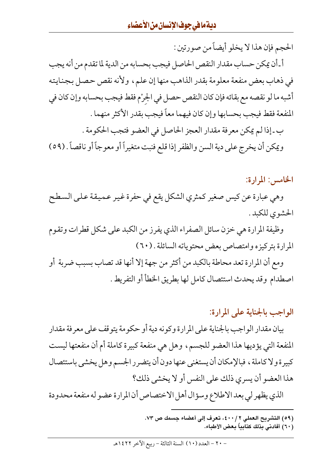الحجم فإن هذا لا يخلو أيضاً من صورتين : أ\_أن يمكن حساب مقدار النقص الحاصل فيجب بحسابه من الدية لما تقدم من أنه يجب في ذهاب بعض منفعة معلومة بقدر الذاهب منها إن علم، ولأنه نقص حصل بجنايته أشبه ما لو نقصه مع بقائه فإن كان النقص حصل في الجرْم فقط فيجب بحسابه وإن كان في المنفعة فقط فيجب بحسابها وإن كان فيهما معاً فيجب بقدر الأكثر منهما . ب ـ إذا لم يمكن معرفة مقدار العجز الحاصل في العضو فتجب الحكومة . ويمكن أن يخرج على دية السن والظفر إذا قلع فنبت متغيراً أو معوجاً أو ناقصاً . (٥٩)

الخامس: المرارة:

وهي عبارة عن كيس صغير كمثري الشكل يقع في حفرة غير عميقة على السطح الحشوي للكبد .

وظيفة المرارة هي خزن سائل الصفراء الذي يفرز من الكبد على شكل قطرات وتقوم المرارة بتركيزه وامتصاص بعض محتوياته السائلة . (٦٠)

ومع أن المرارة تعد محاطة بالكبد من أكثر من جهة إلا أنها قد تصاب بسبب ضربة أو اصطدام وقد يحدث استئصال كامل لها بطريق الخطأ أو التفريط .

# الواجب بالجناية على المرارة:

بيان مقدار الواجب بالجناية على المرارة وكونه دية أو حكومة يتوقف على معرفة مقدار المنفعة التي يؤديها هذا العضو للجسم، وهل هي منفعة كبيرة كاملة أم أن منفعتها ليست كبيرة ولا كاملة ، فبالإمكان أن يستغني عنها دون أن يتضرر الجسم وهل يخشى باستئصال هذا العضو أن يسرى ذلك على النفس أو لا يخشى ذلك؟

الذي يظهر لي بعد الاطلاع وسؤال أهل الاختصاص أن المرارة عضو له منفعة محدودة

- (٥٩) التشريح العملي ٤٠٠/٢، تعرف إلى أعضاء جسمك ص ٧٣.
	- ( ٦٠) أفادني بذلك كتابياً بعض الأطباء.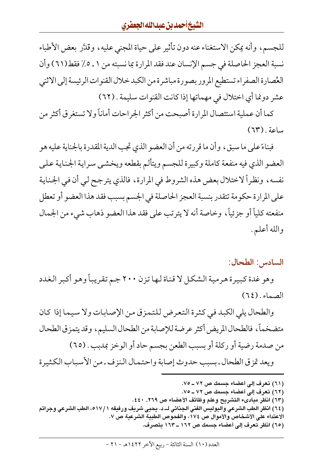للجسم، وأنه يمكن الاستغناء عنه دون تأثير على حياة المجنى عليه، وقدَّر بعض الأطباء نسبة العجز الحاصلة في جسم الإنسان عند فقد المرارة بما نسبته من ١ ـ ٥٪ فقط(٦١) وأن العُصارة الصفراء تستطيع المرور بصورة مباشرة من الكبد خلال القنوات الرئيسة إلى الاثنى عشر دوغا أي اختلال في مهماتها إذا كانت القنوات سليمة . (٦٢)

كما أن عملية استئصال المرارة أصبحت من أكثر الجراحات أماناً ولا تستغرق أكثر من ساعة. (٦٣)

فبناءً على ما سبق، وأن ما قررته من أن العضو الذي تجب الدية المقدرة بالجناية عليه هو العضو الذي فيه منفعة كاملة وكبيرة للجسم ويتألم بقطعه ويخشى سراية الجناية على نفسه، ونظراً لاختلال بعض هذه الشروط في المرارة، فالذي يترجح لي أن في الجناية على المرارة حكومة تتقدر بنسبة العجز الحاصلة في الجسم بسبب فقد هذا العضو أو تعطل منفعته كلياً أو جزئياً، وخاصة أنه لا يترتب على فقد هذا العضو ذهاب شيء من الجمال والله أعلم .

#### السادس: الطحال:

وهو غدة كبيرة هرمية الشكل لا قناة لها تزن ٢٠٠ جم تقريباً وهو أكبر الغدد  $(7\xi)$ . الصماء

والطحال يلي الكبد في كثرة التعرض للتمزق من الإصابات ولا سيما إذا كان متضخماً، فالطحال المريض أكثر عرضة للإصابة من الطحال السليم، وقد يتمزق الطحال من صدمة رضية أو ركلة أو بسبب الطعن بجسم حاد أو الوخز بمدبب . (٦٥) ويعد تمزق الطحال ـ بسبب حدوث إصابة واحتمال النزف ـ من الأسباب الكثيرة

- (٦١) تعرف إلى أعضاء جسمك ص ٧٢ ـ ٧٥.
- (٦٢) تعرف إلى أعضاء جسمك ص ٧٢ ـ ٧٥.
- (٦٣) انظر مبادىء التشريح وعلم وظائف الأعضاء ص ٢٦٩, ٤٤٠.
- (٦٤) انظر الطب الشرعي والبوليس الفني الجنائي لــ د. يحيى شريف ورفيقه ٥١٧/١، الطب الشرعى وجرائم الاعتداء على الأشخاص والأموال ص ١٧٤، والفحوص الطبية الشرعية ص ٧.
	- (٦٥) انظر تعرف إلى أعضاء جسمك ص ١٦٢ ـ ١٦٣ بتصرف.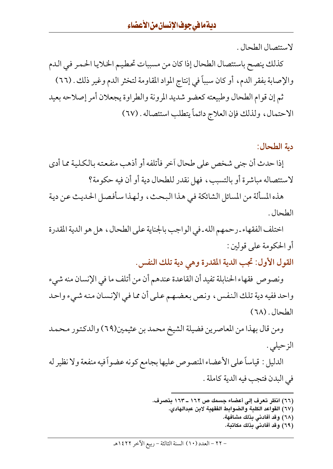لاستئصال الطحال .

كذلك ينصح باستئصال الطحال إذا كان من مسببات تحطيم الخلايا الحمر في الدم والإصابة بفقر الدم، أو كان سبباً في إنتاج المواد المقاومة لتخثر الدم وغير ذلك . (٦٦) ثم إن قوام الطحال وطبيعته كعضو شديد المرونة والطراوة يجعلان أمر إصلاحه بعيد الاحتمال، ولذلك فإن العلاج دائماً يتطلب استئصاله . (٦٧)

#### دية الطحال:

إذا حدث أن جنى شخص على طحال آخر فأتلفه أو أذهب منفعته بالكلية مما أدى لاستئصاله مباشرة أو بالتسبب، فهل نقدر للطحال دية أو أن فيه حكومة؟

هذه المسألة من المسائل الشائكة في هذا البحث، ولهذا سأفصل الحديث عن دية الطحال .

اختلف الفقهاء ـ رحمهم الله ـ في الواجب بالجناية على الطحال ، هل هو الدية المقدرة أو الحكومة على قولين :

القول الأول: تجب الدية المقدرة وهي دية تلك النفس.

ونصوص فقهاء الحنابلة تفيد أن القاعدة عندهم أن من أتلف ما في الإنسان منه شيء واحد ففيه دية تلك النفس، ونص بعضهم على أن مما في الإنسان منه شيء واحد الطحال . (٦٨)

ومن قال بهذا من المعاصرين فضيلة الشيخ محمد بن عثيمين(٦٩) والدكتور محمد الزحيلي .

الدليل : قياساً على الأعضاء المنصوص عليها بجامع كونه عضواً فيه منفعة ولا نظير له في البدن فتجب فيه الدية كاملة .

- (٦٦) انظر تعرف إلى أعضاء جسمك ص ١٦٢ ـ ١٦٣ بتصرف.
	- (٦٧) القواعد الكلية والضوابط الفقهية لابن عبدالهادي.
		- (٦٨) وقد أفادني بذلك مشافهة.
		- (٦٩) وقد أفادني بذلك مكاتبة.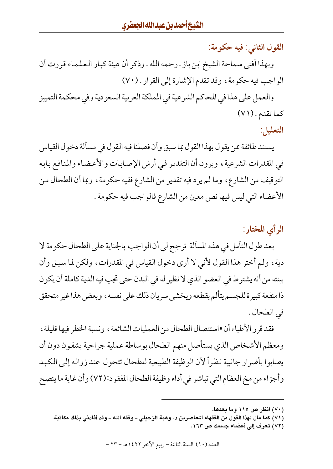القول الثاني: فيه حكومة: وبهذا أفتى سماحة الشيخ ابن باز ـ رحمه الله ـ وذكر أن هيئة كبار العلماء قررت أن الواجب فيه حكومة، وقد تقدم الإشارة إلى القرار . (٧٠) والعمل على هذا في المحاكم الشرعية في المملكة العربية السعودية وفي محكمة التمييز كما تقدم . (٧١) التعليل:

يستند طائفة ممن يقول بهذا القول بما سبق وأن فصلنا فيه القول في مسألة دخول القياس في المقدرات الشرعية ، ويرون أن التقدير في أرش الإصابات والأعضاء والمنافع بابه التوقيف من الشارع، وما لم يرد فيه تقدير من الشارع ففيه حكومة، وبما أن الطحال من الأعضاء التي ليس فيها نص معين من الشارع فالواجب فيه حكومة .

# الرأى المختار:

بعد طول التأمل في هذه المسألة ترجح لي أن الواجب بالجناية على الطحال حكومة لا دية ، ولم أختر هذا القول لأني لا أرى دخول القياس في المقدرات ، ولكن لما سبق وأن بينته من أنه يشترط في العضو الذي لا نظير له في البدن حتى تجب فيه الدية كاملة أن يكون ذا منفعة كبيرة للجسم يتألم بقطعه ويخشى سريان ذلك على نفسه ، وبعض هذا غير متحقق في الطحال .

فقد قرر الأطباء أن «استئصال الطحال من العمليات الشائعة ، ونسبة الخطر فيها قليلة ، ومعظم الأشخاص الذي يستأصل منهم الطحال بوساطة عملية جراحية يشفون دون أن يصابوا بأضرار جانبية نظراً لأن الوظيفة الطبيعية للطحال تتحول عند زواله إلى الكبد وأجزاء من مخ العظام التي تباشر في أداء وظيفة الطحال المفقود»(٧٢) وأن غاية ما ينصح

(٧٢) تعرف إلى أعضاء جسمك ص ١٦٣.

<sup>(</sup>۷۰) انظر ص ۱۱۰ وما بعدها.

<sup>(</sup>٧١) كما مال لهذا القول من الفقهاء المعاصرين د. وهبة الزحيلي ــ وفقه الله ــ وقد أفادني بذلك مكاتبة.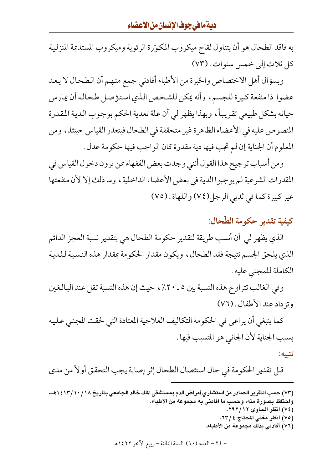به فاقد الطحال هو أن يتناول لقاح ميكروب المكوّرة الرئوية وميكروب المستديمة المنزلية كل ثلاث إلى خمس سنوات. (٧٣)

وبسؤال أهل الاختصاص والخبرة من الأطباء أفادني جمع منهم أن الطحال لا يعد عضوا ذا منفعة كبيرة للجسم، وأنه يمكن للشخص الذي استؤصل طحاله أن يمارس حياته بشكل طبيعي تقريباً، وبهذا يظهر لي أن علة تعدية الحكم بوجوب الدية المقدرة المنصوص عليه في الأعضاء الظاهرة غير متحققة في الطحال فيتعذر القياس حينئذ، ومن المعلوم أن الجناية إن لم تجب فيها دية مقدرة كان الواجب فيها حكومة عدل .

ومن أسباب ترجيح هذا القول أنني وجدت بعض الفقهاء ممن يرون دخول القياس في المقدرات الشرعية لم يوجبوا الدية في بعض الأعضاء الداخلية ، وما ذلك إلا لأن منفعتها غير كبيرة كما في ثديي الرجل(٧٤) واللهاة . (٧٥)

# كيفية تقدير حكومة الطّحال:

الذي يظهر لي أن أنسب طريقة لتقدير حكومة الطحال هي بتقدير نسبة العجز الدائم الذي يلحق الجسم نتيجة فقد الطحال، ويكون مقدار الحكومة بمقدار هذه النسبة للدية الكاملة للمجني عليه .

وفي الغالب تتراوح هذه النسبة بين ٥ ـ ٢٠٪ ، حيث إن هذه النسبة تقل عند البالغين وتزداد عند الأطفال . (٧٦)

كما ينبغي أن يراعي في الحكومة التكاليف العلاجية المعتادة التي لحقت المجنى عليه بسبب الجناية لأن الجانبي هو المتسبب فيها .

تنبيه:

قبل تقدير الحكومة في حال استئصال الطحال إثر إصابة يجب التحقق أولاً من مدى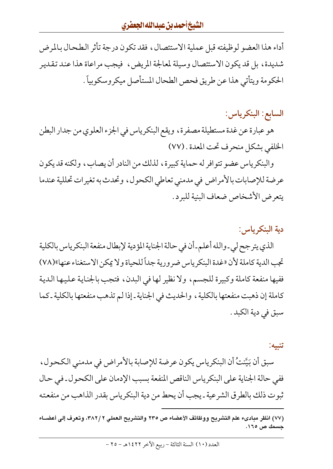أداء هذا العضو لوظيفته قبل عملية الاستئصال، فقد تكون درجة تأثر الطحال بالمرض شديدة، بل قد يكون الاستئصال وسيلة لمعالجة المريض، فيجب مراعاة هذا عند تقدير الحكومة ويتأتى هذا عن طريق فحص الطحال المستأصل ميكروسكوبياً .

# السابع: البنكرياس:

هو عبارة عن غدة مستطيلة مصفرة، ويقع البنكرياس في الجزء العلوي من جدار البطن الخلفي بشكل منحرف تحت المعدة . (٧٧)

والبنكرياس عضو تتوافر له حماية كبيرة، لذلك من النادر أن يصاب، ولكنه قد يكون عرضة للإصابات بالأمراض في مدمني تعاطي الكحول، وتحدث به تغيرات تحللية عندما يتعرض الأشخاص ضعاف البنية للبرد .

### دية البنكرياس:

الذي يترجح لي-والله أعلم-أن في حالة الجناية المؤدية لإبطال منفعة البنكرياس بالكلية تجب الدية كاملة لأن «غدة البنكرياس ضرورية جداً للحياة ولا يمكن الاستغناء عنها»(٧٨) ففيها منفعة كاملة وكبيرة للجسم، ولا نظير لها في البدن، فتجب بالجناية عليها الدية كاملة إن ذهبت منفعتها بالكلية ، والحديث في الجناية ـ إذا لم تذهب منفعتها بالكلية ـ كما سبق في دية الكبد .

#### تنبيه:

سبق أن بَيَّنتُ أن البنكرياس يكون عرضة للإصابة بالأمراض في مدمني الكحول ، ففي حالة الجناية على البنكرياس الناقص المنفعة بسبب الإدمان على الكحول ـ في حال ثبوت ذلك بالطرق الشرعية ـ يجب أن يحط من دية البنكرياس بقدر الذاهب من منفعته

<sup>(</sup>٧٧) انظر مبادىء علم التشريح ووظائف الأعضاء ص ٢٣٥ والتشريح العملي ٢ /٣٨٢، وتعرف إلى أعضــاء جسمك ص ١٦٥.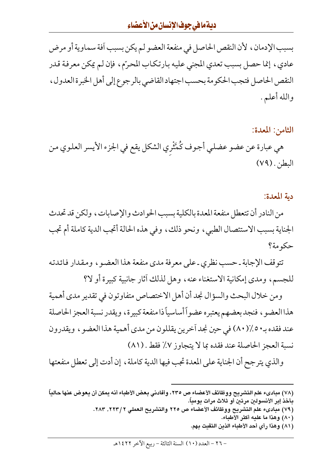# ديةمافي جوف الإنسان من الأعضاء

بسبب الإدمان ، لأن النقص الحاصل في منفعة العضو لم يكن بسبب أفة سماوية أو مرض عادي، إنما حصل بسبب تعدي المجنى عليه بارتكاب المحرّم، فإن لم يمكن معرفة قدر النقص الحاصل فتجب الحكومة بحسب اجتهاد القاضبي بالرجوع إلى أهل الخبرة العدول ، والله أعلم .

# الثامن: المعدة: هي عبارة عن عضو عضلي أجوف كُمَّتْري الشكل يقع في الجزء الأيسر العلوي من البطن. (٧٩)

#### دية المعدة:

من النادر أن تتعطل منفعة المعدة بالكلية بسبب الحوادث والإصابات، ولكن قد تحدث الجناية بسبب الاستئصال الطبي، ونحو ذلك، وفي هذه الحالة أتجب الدية كاملة أم تجب حكومة؟

تتوقف الإجابة ـ حسب نظري ـ على معرفة مدى منفعة هذا العضو ، ومقدار فائدته للجسم، ومدى إمكانية الاستغناء عنه، وهل لذلك أثار جانبية كبيرة أو لا؟

ومن خلال البحث والسؤال نجد أن أهل الاختصاص متفاوتون في تقدير مدى أهمية هذا العضو ، فنجد بعضهم يعتبره عضواً أساسياً ذا منفعة كبيرة ، ويقدر نسبة العجز الحاصلة عند فقده بـ • ٥٪(٨٠) في حين نجد آخرين يقللون من مدى أهمية هذا العضو ، ويقدرون نسبة العجز الحاصلة عند فقده بما لا يتجاوز ٧٪ فقط . (٨١)

والذي يترجح أن الجناية على المعدة تجب فيها الدية كاملة ، إن أدت إلى تعطل منفعتها

#### (٧٨) مبادىء علم التشريح ووظائف الأعضاء ص ٢٣٥، وأفادني بعض الأطباء أنه يمكن أن يعوض عنها حالياً بأخذ إبر الأنسولين مرتين أو ثلاث مرات يومياً.

- (٧٩) مبادىء علم التشريح ووظائف الأعضاء ص ٢٢٥ والتشريح العملي ٢ /٢٢٣, ٢٨٣.
	- (٨٠) وهذا ما عليه أكثر الأطباء.
	- (٨١) وهذا رأي أحد الأطباء الذين التقيت بهم.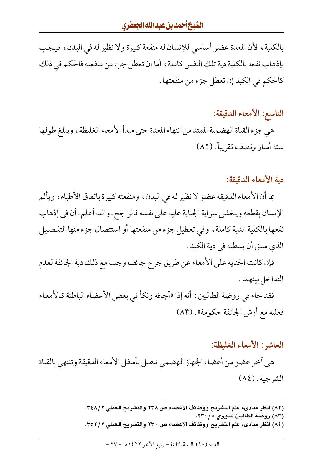بالكلية، لأن المعدة عضو أساسي للإنسان له منفعة كبيرة ولا نظير له في البدن، فيجب بإذهاب نفعه بالكلية دية تلك النفس كاملة ، أما إن تعطل جزء من منفعته فالحكم في ذلك كالحكم في الكبد إن تعطل جزء من منفعتها .

### التاسع: الأمعاء الدقيقة:

هي جزء القناة الهضمية الممتد من انتهاء المعدة حتى مبدأ الأمعاء الغليظة ، ويبلغ طولها ستة أمتار ونصف تقريباً . (٨٢)

#### دية الأمعاء الدقيقة:

بما أن الأمعاء الدقيقة عضو لا نظير له في البدن، ومنفعته كبيرة باتفاق الأطباء، ويألم الإنسان بقطعه ويخشى سراية الجناية عليه على نفسه فالراجح ـ والله أعلم ـ أن في إذهاب نفعها بالكلية الدية كاملة ، وفي تعطيل جزء من منفعتها أو استئصال جزء منها التفصيل الذي سبق أن بسطته في دية الكبد .

فإن كانت الجناية على الأمعاء عن طريق جرح جائف وجب مع ذلك دية الجائفة لعدم التداخل بينهما .

فقد جاء في روضة الطالبين : أنه إذا «أجافه ونكأ في بعض الأعضاء الباطنة كالأمعاء فعليه مع أرش الجائفة حكومة» . (٨٣)

#### العاشر : الأمعاء الغليظة:

هي أخر عضو من أعضاء الجهاز الهضمي تتصل بأسفل الأمعاء الدقيقة وتنتهي بالقناة الشرجية. (٨٤)

<sup>(</sup>٨٢) انظر مبادىء علم التشريح ووظائف الأعضاء ص ٢٣٨ والتشريح العملي ٣٤٨/٢.

<sup>(</sup>٨٣) روضة الطالبين للنووي ٢٣٠/٨.

<sup>(</sup>٨٤) انظر مبادىء علم التشريح ووظائف الأعضاء ص ٢٣٠ والتشريح العملي ٣٥٢/٢.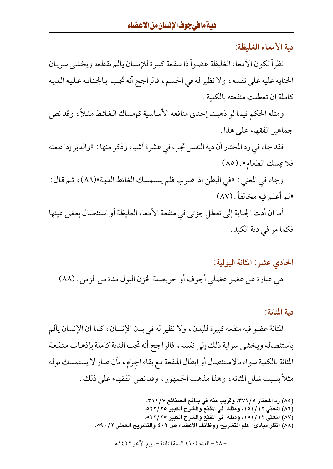دية الأمعاء الغليظة:

نظراً لكون الأمعاء الغليظة عضواً ذا منفعة كبيرة للإنسان يألم بقطعه ويخشى سريان الجناية عليه على نفسه، ولا نظير له في الجسم، فالراجح أنه تجب بالجناية عليه الدية كاملة إن تعطلت منفعته بالكلية .

ومثله الحكم فيما لو ذهبت إحدى منافعه الأساسية كإمساك الغائط مثلاً، وقد نص جماهير الفقهاء على هذا .

فقد جاء في رد المحتار أن دية النفس تجب في عشرة أشياء وذكر منها : «والدبر إذا طعنه فلا يمسك الطعام» . (٨٥)

وجاء في المغنى : «في البطن إذا ضرب فلم يستمسك الغائط الدية»(٨٦)، ثم قال : «لم أعلم فيه مخالفاً. (٨٧)

أما إن أدت الجناية إلى تعطل جزئي في منفعة الأمعاء الغليظة أو استئصال بعض عينها فكما مر في دية الكبد .

#### الحادي عشر: المثانة البولية:

هي عبارة عن عضو عضلي أجوف أو حويصلة لخزن البول مدة من الزمن . (٨٨)

#### دية المثانة:

المثانة عضو فيه منفعة كبيرة للبدن، ولا نظير له في بدن الإنسان، كما أن الإنسان يألم باستئصاله ويخشى سراية ذلك إلى نفسه، فالراجح أنه تجب الدية كاملة بإذهاب منفعة المثانة بالكلية سواء بالاستئصال أو إبطال المنفعة مع بقاء الجرْم، بأن صار لا يستمسك بوله مثلاً بسبب شلل المثانة ، وهذا مذهب الجمهور ، وقد نص الفقهاء على ذلك .

> (٨٥) رد المحتار ٣٧١/٥، وقريب منه في بدائع الصنائع ٣١١/٧. (٨٦) المغني ١٥١/١٥١، ومثله ً في المقنع والشرح الكبير ٢٥/٢٢٥. (٨٧) المغنى ١٥١/١٢، ومثله في المقنع والشرح الكبير ٢٥/٢٢٥. (٨٨) انظر مبادىء علم التشريح ووظائف الأعضاء ص ٤٠٢ والتشريح العملي ٥٩٠/٢.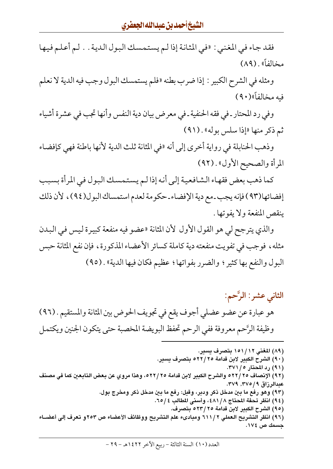فقد جاء في المغنى : «في المثانة إذا لـم يستمسك البول الدية . . لـم أعلـم فيها مخالفاً» . (۸۹)

ومثله في الشرح الكبير : إذا ضرب بطنه «فلم يستمسك البول وجب فيه الدية لا نعلم فيه مخالفاً»(٩٠)

وفي رد المحتار ـ في فقه الحنفية ـ في معرض بيان دية النفس وأنها تجب في عشرة أشياء ثم ذكر منها «إذا سلس بوله» . (٩١)

وذهب الحنابلة في رواية أخرى إلى أنه «في المثانة ثلث الدية لأنها باطنة فهي كإفضاء المرأة والصحيح الأول» . (٩٢)

كما ذهب بعض فقهاء الشافعية إلى أنه إذا لم يستمسك البول في المرأة بسبب إفضائها(٩٣) فإنه يجب ـ مع دية الإفضاء ـ حكومة لعدم استمساك البول(٩٤) ، لأن ذلك ينقص المنفعة ولا يفوتها .

والذي يترجح لي هو القول الأول لأن المثانة «عضو فيه منفعة كبيرة ليس في البدن مثله، فوجب في تفويت منفعته دية كاملة كسائر الأعضاء المذكورة، فإن نفع المثانة حبس البول والنفع بها كثير ؛ والضرر بفواتها ؛ عظيم فكان فيها الدية» . (٩٥)

# الثاني عشر: الرَّحم: هو عبارة عن عضو عضلي أجوف يقع في تجويف الحوض بين المثانة والمستقيم . (٩٦) وظيفة الرَّحم معروفة ففي الرحم تحفظ البويضة المخصبة حتى يتكون الجنين ويكتمل

(٨٩) المغنى ١٥١/١٢ بتصرف يسير. (٩٠) الشرح الكبير لابن قدامة ٢٥/٢٥ بتصرف يسير. (۹۱) رد المحتار ۲۷۱/۰. (٩٢) الإنصاف ٢٥ /٥٢٢ والشرح الكبير لابن قدامة ٢٥ /٥٢٢، وهذا مروي عن بعض التابعين كما في مصنف عبدالرزاق ٩ / ٣٧٥, ٣٧٩. (٩٣) وهو رفع ما بين مدخل ذكر ودبر، وقيل: رفع ما بين مدخل ذكر ومخرج بول. (٩٤) انظر تحفة المحتاج ٤٨١/٨، وأسنى المطالب ٢٥/٤. (٩٥) الشرح الكبير لابن قدامة ٢٥/ ٥٢٣ بتصرف. (٩٦) انظر التشريح العملي ٢ / ٦١١ ومبادىء علم التشريح ووظائف الأعضاء ص ٢٥٣ و تعرف إلى أعضــاء جسمك ص ١٧٤.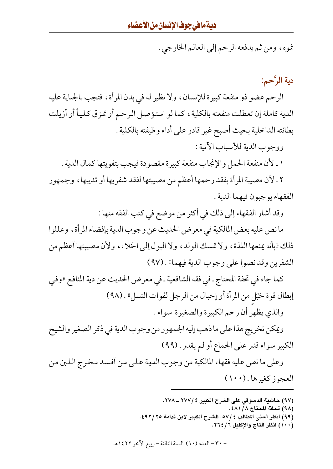نموه، ومن ثم يدفعه الرحم إلى العالم الخارجي .

دية الرَّحم:

الرحم عضو ذو منفعة كبيرة للإنسان، ولا نظير له في بدن المرأة، فتجب بالجناية عليه الدية كاملة إن تعطلت منفعته بالكلية، كما لو استؤصل الرحم أو تمزق كلياً أو أزيلت بطانته الداخلية بحيث أصبح غير قادر على أداء وظيفته بالكلية .

ووجوب الدية للأسباب الآتية :

١ ـ لأن منفعة الحمل والإنجاب منفعة كبيرة مقصودة فيجب بتفويتها كمال الدية .

٢ ـ لأن مصيبة المرأة بفقد رحمها أعظم من مصيبتها لفقد شفريها أو ثدييها ، وجمهور الفقهاء يوجبون فيهما الدية .

وقد أشار الفقهاء إلى ذلك في أكثر من موضع في كتب الفقه منها :

ما نص عليه بعض المالكية في معرض الحديث عن وجوب الدية بإفضاء المرأة، وعللوا ذلك «بأنه يمنعها اللذة، ولا تمسك الولد، ولا البول إلى الخلاء، ولأن مصيبتها أعظم من الشفرين وقد نصوا على وجوب الدية فيهما» . (٩٧)

كما جاء في تحفة المحتاج ـ في فقه الشافعية ـ في معرض الحديث عن دية المنافع «وفي إبطال قوة حَبَل من المرأة أو إحبال من الرجل لفوات النسل» . (٩٨) والذي يظهر أن رحم الكبيرة والصغيرة سواء .

ويمكن تخريج هذا على ما ذهب إليه الجمهور من وجوب الدية في ذكر الصغير والشيخ الكبير سواء قدر على الجماع أو لم يقدر . (٩٩)

وعلى ما نص عليه فقهاء المالكية من وجوب الدية على من أفسد مخرج اللبن من العجوز كغيرها . (١٠٠)

> (٩٧) حاشية الدسوقي على الشرح الكبير ٢٧٧/٤ ـ ٢٧٨. (٩٨) تحفة المحتاج ٤٨١/٨: (٩٩) انظر أسنى المطالب ٥٧/٤، الشرح الكبير لابن قدامة ٤٩٢/٢٥. (١٠٠) انظر التاج والإكليل ٢٦٤/٦.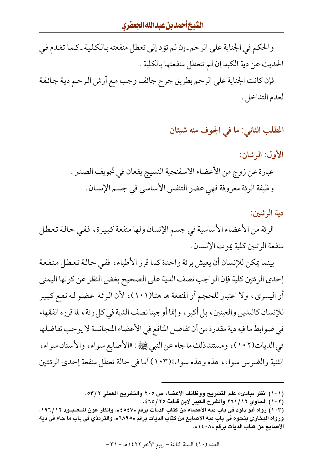والحكم في الجناية على الرحم ـ إن لم تؤد إلى تعطل منفعته بالكلية ـ كما تقدم في الحديث عن دية الكبد إن لم تتعطل منفعتها بالكلية .

فإن كانت الجناية على الرحم بطريق جرح جائف وجب مع أرش الرحم دية جائفة لعدم التداخل .

# المطلب الثاني: ما في الجوف منه شيئان

الأول: الرئتان: عبارة عن زوج من الأعضاء الاسفنجية النسيج يقعان في تجويف الصدر . وظيفة الرئة معروفة فهي عضو التنفس الأساسي في جسم الإنسان .

دية الرئتين:

الرئة من الأعضاء الأساسية في جسم الإنسان ولها منفعة كبيرة، ففي حالة تعطل منفعة الرئتين كلية يموت الإنسان .

بينما يمكن للإنسان أن يعيش برئة واحدة كما قرر الأطباء، ففي حالة تعطل منفعة إحدى الرئتين كلية فإن الواجب نصف الدية على الصحيح بغض النظر عن كونها اليمنى أو اليسري، ولا اعتبار للحجم أو المنفعة ها هنا(١٠١)، لأن الرئة عضو له نفع كبير للإنسان كاليدين والعينين، بل أكبر ، وإنما أوجبنا نصف الدية في كل رئة ، لما قرره الفقهاء في ضوابط ما فيه دية مقدرة من أن تفاضل المنافع في الأعضاء المتجانسة لا يوجب تفاضلها في الديات(١٠٢)، ومستند ذلك ما جاء عن النبي ﷺ: «الأصابع سواء، والأسنان سواء، الثنية والضرس سواء، هذه وهذه سواء»(١٠٣) أما في حالة تعطل منفعة إحدى الرئتين

<sup>(</sup>١٠١) انظر مبادىء علم التشريح ووظائف الأعضاء ص ٢٠٥ والتشريح العملي ٥٣/٢.

<sup>(</sup>١٠٢) الحاوي ٢٦١/١٢ والشرح الكبير لابن قدامة ٢٥/٢٥٤.

<sup>(</sup>١٠٣ ) رواه أبو داود في باب دية الأعضاء من كتاب الديات برقم «٤٥٤٧»، وانظر عون المـعـبـود ١٩٦/١٢، ورواه البخاري بنحوه في باب دية الأصابع من كتاب الديات برقم «٦٨٩٥»، والترمذي في باب ما جاء في دية الأصابع من كتاب الديات برقم «١٤٠٨».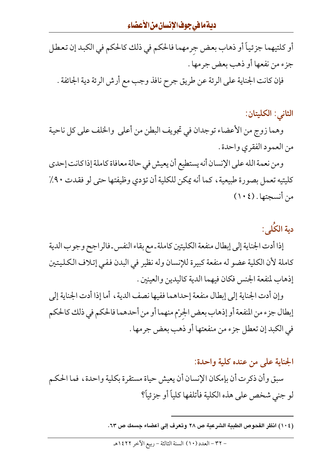# ديةمافي جوف الإنسان من الأعضاء

أو كلتيهما جزئياً أو ذهاب بعض جرمهما فالحكم في ذلك كالحكم في الكبد إن تعطل جزء من نفعها أو ذهب بعض جرمها .

فإن كانت الجناية على الرئة عن طريق جرح نافذ وجب مع أرش الرئة دية الجائفة .

الثاني: الكليتان:

وهما زوج من الأعضاء توجدان في تجويف البطن من أعلى والخلف على كل ناحية من العمود الفقري واحدة .

ومن نعمة الله على الإنسان أنه يستطيع أن يعيش في حالة معافاة كاملة إذا كانت إحدى كليتيه تعمل بصورة طبيعية ، كما أنه يمكن للكلية أن تؤدي وظيفتها حتى لو فقدت ٩٠٪ من أنسجتها . (١٠٤)

# دية الكُلِي:

إذا أدت الجناية إلى إبطال منفعة الكليتين كاملة ـ مع بقاء النفس ـ فالراجح وجوب الدية كاملة لأن الكلية عضو له منفعة كبيرة للإنسان وله نظير في البدن ففي إتلاف الكليتين إذهاب لمنفعة الجنس فكان فيهما الدية كاليدين والعينين .

وإن أدت الجناية إلى إبطال منفعة إحداهما ففيها نصف الدية ، أما إذا أدت الجناية إلى إبطال جزء من المنفعة أو إذهاب بعض الجرْم منهما أو من أحدهما فالحكم في ذلك كالحكم في الكبد إن تعطل جزء من منفعتها أو ذهب بعض جرمها .

الجناية على من عنده كلية واحدة:

سبق وأن ذكرت أن بإمكان الإنسان أن يعيش حياة مستقرة بكلية واحدة، فما الحكم لو جني شخص على هذه الكلية فأتلفها كلياً أو جزئياً؟

(١٠٤) انظر الفحوص الطبية الشرعية ص ٢٨ وتعرف إلى أعضاء جسمك ص ٦٣.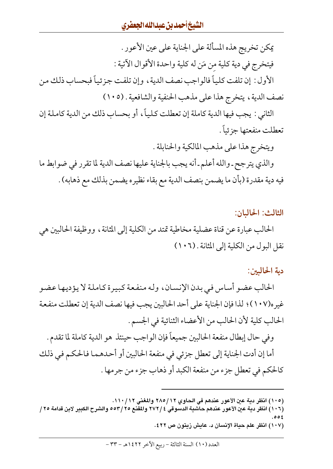يمكن تخريج هذه المسألة على الجناية على عين الأعور . فيتخرج في دية كلية من مَن له كلية واحدة الأقوال الآتية : الأول : إن تلفت كلياً فالواجب نصف الدية ، وإن تلفت جزئياً فبحساب ذلك من نصف الدية، يتخرج هذا على مذهب الحنفية والشافعية . (١٠٥)

الثاني : يجب فيها الدية كاملة إن تعطلت كلياً، أو بحساب ذلك من الدية كاملة إن تعطلت منفعتها جزئياً .

ويتخرج هذا على مذهب المالكية والحنابلة . والذي يترجح ـ والله أعلم ـ أنه يجب بالجناية عليها نصف الدية لما تقرر في ضوابط ما فيه دية مقدرة (بأن ما يضمن بنصف الدية مع بقاء نظيره يضمن بذلك مع ذهابه) .

الثالث: الحاليان:

الحالب عبارة عن قناة عضلية مخاطية تمتد من الكلية إلى المثانة ، ووظيفة الحالبين هي نقل البول من الكلية إلى المثانة . (١٠٦)

دية الحاليين:

الحالب عضو أساس في بدن الإنسان، وله منفعة كبيرة كاملة لا يؤديها عضو غيره(١٠٧)؛ لذا فإن الجناية على أحد الحالبين يجب فيها نصف الدية إن تعطلت منفعة الحالب كلية لأن الحالب من الأعضاء الثنائية في الجسم .

وفي حال إبطال منفعة الحالبين جميعاً فإن الواجب حينئذ هو الدية كاملة لما تقدم . أما إن أدت الجناية إلى تعطل جزئي في منفعة الحالبين أو أحدهما فالحكم في ذلك كالحكم في تعطل جزء من منفعة الكبد أو ذهاب جزء من جرمها .

(١٠٧) انظر علم حياة الإنسان د. عايش زيتون ص ٤٢٢.

<sup>(</sup>١٠٥) انظر دية عين الأعور عندهم في الحاوي ٢٨٥/١٢ والمغني ١١٠/١١.

<sup>(</sup>١٠٦) انظر دية عين الأعور عندهم حاشية الدسوقي ٢٧٢/٤ والمقنع ٢٥٣/٢٥ والشرح الكبير لابن قدامة ٢٥ /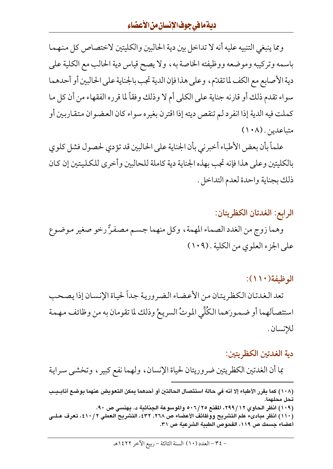ومما ينبغي التنبيه عليه أنه لا تداخل بين دية الحالبين والكليتين لاختصاص كل منهما باسمه وتركيبه وموضعه ووظيفته الخاصة به، ولا يصح قياس دية الحالب مع الكلية على دية الأصابع مع الكف لما تقدّم، وعلى هذا فإن الدية تجب بالجناية على الحالبين أو أحدهما سواء تقدم ذلك أو قارنه جناية على الكلي أم لا وذلك وفقاً لما قرره الفقهاء من أن كل ما كملت فيه الدية إذا انفرد لم تنقص ديته إذا اقترن بغيره سواء كان العضوان متقاربين أو متباعدين . (١٠٨)

علماً بأن بعض الأطباء أخبرني بأن الجناية على الحالبين قد تؤدي لحصول فشل كلوي بالكليتين وعلى هذا فإنه تجب بهذه الجناية دية كاملة للحالبين وأخرى للكليتين إن كان ذلك بجناية واحدة لعدم التداخل .

الرابع: الغدتان الكظريتان: وهما زوج من الغدد الصماء المهمة ، وكل منهما جسم مصفرٌّ رخو صغير موضوع على الجزء العلوي من الكلية . (١٠٩)

الوظيفة(١١٠):

تعد الغدتان الكظريتان من الأعضاء الضرورية جداً لحياة الإنسان إذا يصحب استئصالهما أو ضمورَهما الكُلِّي الموتُ السريعُ وذلك لما تقومان به من وظائف مهمة للإنسان .

#### دية الغدتين الكظر يتين:

بما أن الغدتين الكظريتين ضروريتان لحياة الإنسان، ولهما نفع كبير، وتخشى سراية

<sup>(</sup>١٠٨) كما يقرر الأطباء إلا أنه في حالة استئصال الحالتين أو أحدهما يمكن التعويض عنهما بوضع أنابـيـب تحل محلهما. (١٠٩) انظر الحاوي ٢٩٩/١٢، المقنع ٥٠٦/٢٥ والموسوعة الجنائية د. بهنسي ص ٩٠. (١١٠) انظر مبادىء علم التشريح ووظائف الأعضاء ص ٢٦٨, ٤٣٢، التشريح العملي ٤١٠/٢، تعرف عـلــي أعضاء جسمك ص ١١٩، الفحوص الطبية الشرعية ص ٣١.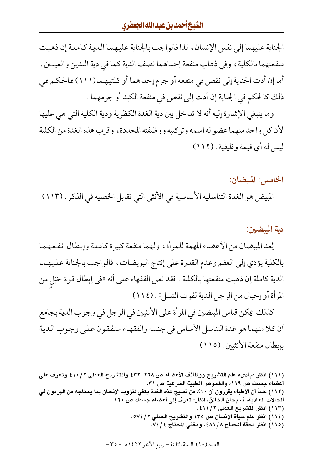الجناية عليهما إلى نفس الإنسان، لذا فالواجب بالجناية عليهما الدية كاملة إن ذهبت منفعتهما بالكلية ، وفي ذهاب منفعة إحداهما نصف الدية كما في دية اليدين والعينين . أما إن أدت الجناية إلى نقص في منفعة أو جرم إحداهما أو كلتيهما(١١١) فالحكم في ذلك كالحكم في الجناية إن أدت إلى نقص في منفعة الكبد أو جرمهما .

وما ينبغي الإشارة إليه أنه لا تداخل بين دية الغدة الكظرية ودية الكلية التي هي عليها لأن كل واحد منهما عضو له اسمه وتركيبه ووظيفته المحددة، وقرب هذه الغدة من الكلية ليس له أي قيمة وظيفية . (١١٢)

الخامس: الميضان:

المبيض هو الغدة التناسلية الأساسية في الأنثى التي تقابل الخصية في الذكر . (١١٣)

دية المبيضين:

يُعد المبيضان من الأعضاء المهمة للمرأة، ولهما منفعة كبيرة كاملة وإبطال نفعهما بالكلية يؤدي إلى العقم وعدم القدرة على إنتاج البويضات، فالواجب بالجناية عليهما الدية كاملة إن ذهبت منفعتها بالكلية . فقد نص الفقهاء على أنه «في إبطال قوة حَبَلٍ من المرأة أو إحبال من الرجل الدية لفوت النسل» . (١١٤)

كذلك يمكن قياس المبيضين في المرأة على الأنثيين في الرجل في وجوب الدية بجامع أن كلا منهما هو غدة التناسل الأساس في جنسه والفقهاء متفقون على وجوب الدية بإبطال منفعة الأنثيين . (١١٥)

- (١١٣) انظر التشريح العملي ٤١١/٢.
- (١١٤) انظر علم حياة الإنسان ص ٤٣٥ والتشريح العملي ٢ / ٥٧٤. (١١٥) انظر تحفة المحتاج ٤٨١/٨، ومغنى المحتاج ٧٤/٤.

<sup>(</sup>١١١) انظر مبادىء علم التشريح ووظائف الأعضاء ص ٢٦٨, ٤٣٢ والتشريح العملي ٢ /٤١٠ وتعرف على أعضاء جسمك ص ١١٩، والفحوص الطبية الشرعية ص ٣١.

<sup>(</sup>١١٢) علماً أن الأطباء يقررون أن ١٠٪ من نسيج هذه الغدة يكفي لتزويد الإنسان بما يحتاجه من الهرمون في الحالات العادية، فسبحان الخالق، انظر: تعرف إلى أعضاء جسمك ص ١٢٠.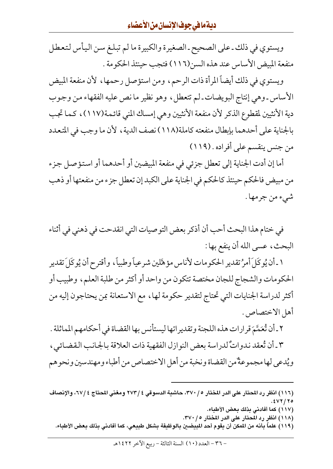# ديةمافي جوف الإنسان من الأعضاء

ويستوي في ذلك ـ على الصحيح ـ الصغيرة والكبيرة ما لم تبلغ سـن اليأس لتعطل منفعة المبيض الأساس عند هذه السن(١١٦) فتجب حينئذ الحكومة .

ويستوي في ذلك أيضاً المرأة ذات الرحم، ومن استؤصل رحمها، لأن منفعة المبيض الأساس ـ وهي إنتاج البويضات ـ لم تتعطل، وهو نظير ما نص عليه الفقهاء من وجوب دية الأنثيين لمقطوع الذكر لأن منفعة الأنثيين وهي إمساك المني قائمة(١١٧)، كما تجب بالجناية على أحدهما بإبطال منفعته كاملة(١١٨) نصف الدية ، لأن ما وجب في المتعدد من جنس ينقسم على أفراده . (١١٩)

أما إن أدت الجناية إلى تعطل جزئي في منفعة الميضين أو أحدهما أو استؤصل جزء من مبيض فالحكم حينئذ كالحكم في الجناية على الكبد إن تعطل جزء من منفعتها أو ذهب شيء من جرمها .

في ختام هذا البحث أحب أن أذكر بعض التوصيات التي انقدحت في ذهني في أثناء البحث، عسى الله أن ينفع بها :

١ ـ أن يُوكَلَ أمرُ تقدير الحكومات لأناس مؤهَّلين شرعياً وطبياً، وأقترح أن يُوكَلَ تقدير الحكومات والشجاج للجان مختصة تتكون من واحد أو أكثر من طلبة العلم، وطبيب أو أكثر لدراسة الجنايات التي تحتاج لتقدير حكومة لها ، مع الاستعانة بمن يحتاجون إليه من أهل الاختصاص .

٢ ـ أن تُعَمَّمَ قرارات هذه اللجنة وتقديراتها ليستأنس بها القضاة في أحكامهم الماثلة .

٣ ـ أن تُعقد ندواتٌ لدراسة بعض النوازل الفقهية ذات العلاقة بالجانب القضائي ، ويُدعى لها مجموعةٌ من القضاة ونخبة من أهل الاختصاص من أطباء ومهندسين ونحو هم

- (١١٦) انظر رد المحتار على الدر المختار ٣٧٠/٥، حاشية الدسوقي ٤ /٧٧٣ ومغنى المحتاج ٢٧/٤، والإنصاف ۲۵ / ۷۲).
	- (١١٧) كما أفادني بذلك بعض الأطباء.
	- (١١٨) انظر رد المحتار على الدر المختار ٢٧٠/٠.
	- (١١٩) علماً بأنه من المكن أن يقوم أحد المبيضين بالوظيفة بشكل طبيعى، كما أفادنى بذلك بعض الأطباء.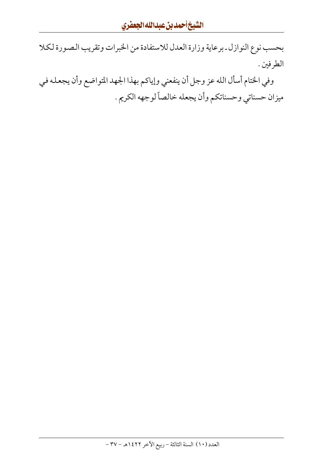بحسب نوع النوازل ـ برعاية وزارة العدل للاستفادة من الخبرات وتقريب الصورة لكلا الطرفين .

وفي الختام أسأل الله عز وجل أن ينفعني وإياكم بهذا الجهد المتواضع وأن يجعله في ميزان حسناتي وحسناتكم وأن يجعله خالصاً لوجهه الكريم .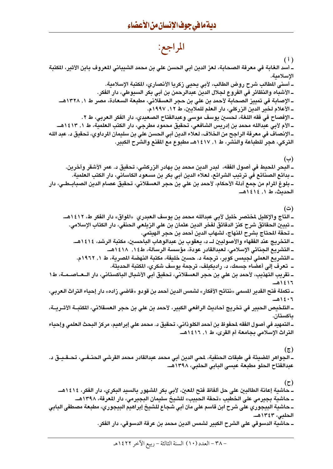# المراجع:

 $(1)$ ــ أسد الـغابـة فى معرفة الصـحـابـة، لـعز الدين أبي الـحسن علي بن محمد الشيبـاني المعروف بـابن الأثير، المكتبـة الاسلامية. ــ أسنى المطالب شرح روض الطالب، لأبي يحيي زكريا الأنصاري، المكتبة الإسلامية. ـ الأشباه والنظائر في الفروع لجلال الدين عبدالرحمن بن أبي بكر السيوطي، دار الفكر. ــ الإصابة في تمييز الصحابة لأحمد بن علي بن حجر العسقلاني، مطبعة السعادة، مصر ط ١, ١٣٢٨هــ. ــ الأعلام لخير الدين الزركلي، دار الـعلم للملايين، ط ١٢, ١٩٩٧م. ـ الإفصاح في فقه اللغة، لحسين يوسف موسى وعبدالفتاح الصعيدي، دار الفكر العربي، ط ٢. ـــ الأم لأبي عبدالله محمد بن إدريس الشافعي، تحقيق محمود مطرجي، دار الكتب العلمية، ط ١, ١٤١٣هـــــــ ــ الإنصاف في معرفة الراجح من الخلاف، لـعلاء الدين أبي الحسن على بن سليمان المرداوي، تحقيق د. عبد الله التركي، هجر للطباعة والنشر، ط ١, ١٤١٧هـ مطبوع مع المقنع والشرح الكبير. (ب) ــ البحر المحيط في أصول الفقه، لبدر الدين محمد بن بهادر الزركشي، تحقيق د. عمر الأشقر وآخرين. ـ بدائع الصنائع في ترتيب الشرائع، لـعلاء الدين أبي بكر بن مسعود الكاساني، دار الكتب الـعلمية. ــ بلوغ المرام من جمع أدلة الأحكام، لأحمد بن على بن حجر العسقلاني، تحقيق عصام الدين الصبابــطــي، دار الحدىث، ط ١, ١٤١٤هـ. (ت) ــ التاج والإكليل لمختصر خليل لأبي عبدالله محمد بن يوسف العبدري «المواق» دار الفكر ط، ١٤١٢هـــ ــ تبيين الحقائق شرح كنز الدقائق لفخر الدين عثمان بن على الزيلعي الحنفي، دار الكتاب الإسلامي. ــ تحفة المحتاج بشرح المنهاج، لشهاب الدين أحمد بن حجر الهيتمي. ـ التخريج عند الفقهاء والأصوليين لــ د، يعقوب بن عبدالوهاب الباحسين، مكتبة الرشد، ١٤١٤هــ. ــ التشريع الجنائي الإسلامي، لـعبدالقادر عودة، مؤسسة الرسالة، ط١٤١٤. ١٤١٨هـــ ـ التشريع العملي لجيمس كوبر، ترجمة د. حسين خليفة، مكتبة النهضة المصرية، ط ١, ١٩٦٢م. ــ تعرف إلى أعضاء جسمك، د. راديكيلف، ترجمة يوسف شكرى، المكتبة الحديثة. ــ تقريب التهذيب، لأحمد بن على بن حجر العسقلاني، تحقيق أبي الأشبال الباكستاني، دار الــعــاصــمــة، ط١ ١٤١٦هـ ــ تكملة فتح القدير المسمى «نتائح الأفكار» لشمس الدين أحمد بن قودو «قاضى زاده» دار إحياء التراث العربي، ٠٦ ١٤٠٦هـ ـ التلخيص الحبير في تخريج أحاديث الرافعي الكبير، لأحمد بن علي بن حجر العسقلاني، المَتبة الأشريــة، ىاكستان. ــ التمهيد في أصول الفقه لمحفوظ بن أحمد الكلوذاني، تحقيق د. محمد على إبراهيم، مركز البحث العلمي وإحياء التراث الإسلامي بجامعة أم القرى، ط ١, ١٤١٦هـ.  $(\overline{c})$ 

ـ الجواهر المضيئة في طبقات الحنفية، لمحي الدين أبي محمد عبدالقادر محمد القرشى الحنــفـى، تـحــقـيــق د. عبدالفتاح الحلو مطبعة عيسى البابي الحلبي، ١٣٩٨هـ.

 $\mathfrak{c}$ ــ حاشية إعانة الطالبين على حل ألفاظ فتح المعين، لأبي بكر المشهور بالسيد البكري، دار الفكر، ١٤١٤هـــ ـ حاشية بجيرمي على الخطيب «تحفة الحبيب» للشيخ سليمان البجيرمي، دار المعرفة، ١٣٩٨هــ. ـ حاشية البيجوري على شرح ابن قاسم على متن أبي شجاع للشيخ إبراهيم البيجوري، مطبعة مصطفى البابي الحلبي، ١٣٤٣هـ. ــ حاشية الدسوقى على الشرح الكبير لشمس الدين محمد بن عرفة الدسوقى، دار الفكر.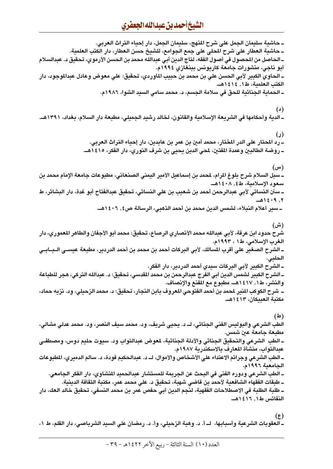ــ حاشية سليمان الجمل على شرح المنهج، سليمان الجمل، دار إحياء التراث العربي. ــ حاشية العطار على شرح المحلي على جمع الجوامع، للشيخ حسن العطار، دار الكتب العلمية. ــ الـحـاصل من المحصول في أصـول الفقه، لـتاج الدين أبـي عبدالله محمد بن الـحسن الأرموي، تـحقيق د. عبدالسلام أبو ناجي، منشورات جامعة كاريونس ببنغازي ١٩٩٤م. ــ الـحاوي الكبير لأبي الـحسن على بن محمد بن حبيب الماوردي، تحقيق: على معوض وعادل عبدالموجود، دار الكتب العلمية، ط١, ١٤١٤هـ. ـ الحماية الجنائية للحق في سلامة الجسم، د. محمد سامي السيد الشوا، ١٩٨٦م. (د) ــ الدية وأحكامها في الشريعة الإسلامية والقانون، لخالد رشيد الجميلي، مطبعة دار السلام، بغداد، ١٣٩١هـــ  $\mathcal{L}$ ــ رد المحتار على الدر المختار، محمد أمين بن عمر بن عابدين، دار إحياء التراث العربي. ــ روضة الطالبين وعمدة المفتين، لمحي الدين يحيى بن شرف النوري، دار الفكر، ١٤١٥هـــ (س) ــ سبل السلام شرح بلوغ المرام، لمحمد بن إسماعيل الأمير اليمني الصنعاني، مطبوعات جامعة الإمام محمد بن سعود الإسلامية، ط٤٠٨ ، ١٤٠٨هـ. ــ سنن النسائي لأبي عبدالرحمن أحمد بن شعيب بن على النسائي، تحقيق عبدالفتاح أبو غدة، دار البشائر، ط ٢. ١٤٠٩هـ ــ سير أعلام النبلاء، لشمس الدين محمد بن أحمد الذهبي، الرسالة ص٤, ١٤٠٦هـ.. (ش) شرح حدود ابن عرفة، لأبي عبدالله محمد الأنصاري الرصاع، تحقيق: محمد أبو الأجفان والطاهر المعموري، دار الغرب الإسلامي، ط١ ، ١٩٩٣م. ــ الشرح الصغير على أقرب المسالك، لأبي البركات أحمد بن محمد بن أحمد الدردير، مطبعة عيســي الــبــابــي الحلبي. ــ الشرح الكبير لأبي البركات سيدي أحمد الدردير، دار الفكر. ــ الشرح الكبير لشمس الدين أبي الفرج عبدالرحمن بن محمد المقدسي، تحقيق: د. عبدالله التركي، هجر للطباعة والنشر، ط١, ١٤١٧هــ، مطبوع مع المقنع والإنصاف. ــــ شرح الكوكب المنير لمحمد بن أحمد الفتوحي المعروف بابن النجار، تحقيق: د. محمد الزحيلي، ود. نزيه حماد، مكتبة العبيكان، ١٤١٣هـ.  $(4)$ الطب الشرعي والبوليس الفَني الجنائي، لــ د. يحيى شريف، ود. محمد سيف النصر، ود. محمد عدلي مشالي، مطبعة جامعة عين شمس. ـــ الطب الشرعي والتحقيق الـجـنائي والأدلة الـجـنائية، لمعوض عبدالتواب ود. سبوت حليم دوس، ومصطفــي عبدالتواب، منشأة المعارف بالاسكندرية ١٩٨٧م. ـــ الطب الشرعى وجرائم الاعتداء على الأشخاص والأموال، لـــ د. عبدالحكيم فودة، د. سالم الدميري، المطبوعات الجامعية ١٩٩٦م. ــ الطب الشرعى ودوره الفنى فى البحث عن الجريمة للمستشار عبدالحميد المنشاوي، دار الفكر الجامعى. ــ طبقات الفقهاء الشافعية لأحمد بن قاضى شهبة، تحقيق د. على محمد عمر، مكتبة الثقافة الدينية. ــ طلبة الطلبة في الاصطلاحات الفقهية، لنجم الدين أبي حفص عمر بن محمد النسفي، تحقيق خالد العك، دار النفائس ط١, ١٤١٦هـ.

 $(\epsilon)$ ـ العقوبات الشرعية وأسبابها، لــ أ. د. وهبة الزحيلي، وأ. د. رمضان على السيد الشرباصي، دار القلم، ط ١،